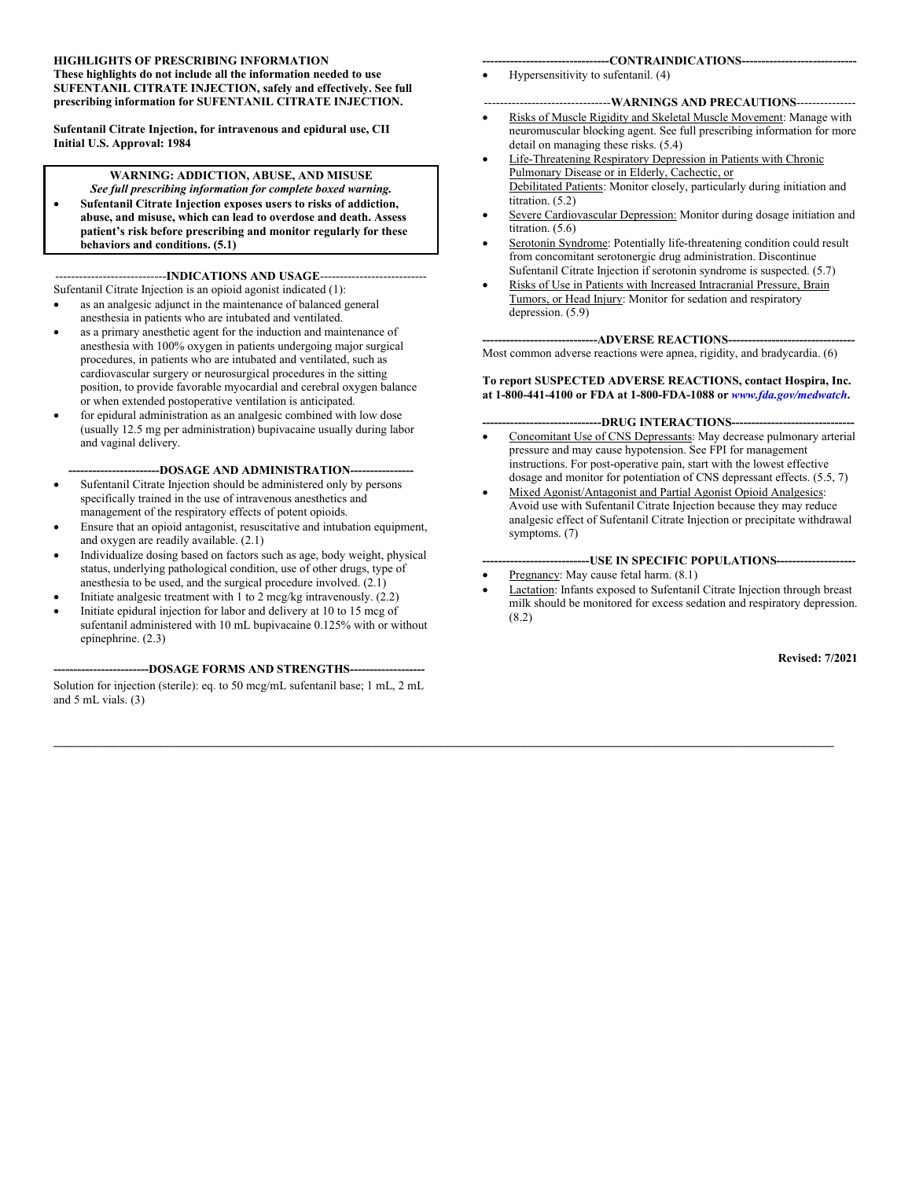#### **HIGHLIGHTS OF PRESCRIBING INFORMATION These highlights do not include all the information needed to use SUFENTANIL CITRATE INJECTION, safely and effectively. See full prescribing information for SUFENTANIL CITRATE INJECTION.**

**Sufentanil Citrate Injection, for intravenous and epidural use, CII Initial U.S. Approval: 1984**

#### **WARNING: ADDICTION, ABUSE, AND MISUSE**

*See full prescribing information for complete boxed warning.* **Sufentanil Citrate Injection exposes users to risks of addiction, abuse, and misuse, which can lead to overdose and death. Assess patient's risk before prescribing and monitor regularly for these behaviors and conditions. (5.1)**

#### ----INDICATIONS AND USAGE-----

- Sufentanil Citrate Injection is an opioid agonist indicated (1): as an analgesic adjunct in the maintenance of balanced general
- anesthesia in patients who are intubated and ventilated. as a primary anesthetic agent for the induction and maintenance of anesthesia with 100% oxygen in patients undergoing major surgical procedures, in patients who are intubated and ventilated, such as cardiovascular surgery or neurosurgical procedures in the sitting position, to provide favorable myocardial and cerebral oxygen balance or when extended postoperative ventilation is anticipated.
- for epidural administration as an analgesic combined with low dose (usually 12.5 mg per administration) bupivacaine usually during labor and vaginal delivery.

#### ---DOSAGE AND ADMINISTRATION---

- Sufentanil Citrate Injection should be administered only by persons specifically trained in the use of intravenous anesthetics and management of the respiratory effects of potent opioids.
- Ensure that an opioid antagonist, resuscitative and intubation equipment, and oxygen are readily available. (2.1)
- Individualize dosing based on factors such as age, body weight, physical status, underlying pathological condition, use of other drugs, type of anesthesia to be used, and the surgical procedure involved. (2.1)
- Initiate analgesic treatment with 1 to 2 mcg/kg intravenously. (2.2)
- Initiate epidural injection for labor and delivery at 10 to 15 mcg of sufentanil administered with 10 mL bupivacaine 0.125% with or without epinephrine. (2.3)

#### **------------------------DOSAGE FORMS AND STRENGTHS-------------------**

Solution for injection (sterile): eq. to 50 mcg/mL sufentanil base; 1 mL, 2 mL and 5 mL vials. (3)

#### **--------------------------------CONTRAINDICATIONS-----------------------------**

Hypersensitivity to sufentanil. (4)

#### --------------------------------**WARNINGS AND PRECAUTIONS**---------------

- Risks of Muscle Rigidity and Skeletal Muscle Movement: Manage with neuromuscular blocking agent. See full prescribing information for more detail on managing these risks. (5.4)
- Life-Threatening Respiratory Depression in Patients with Chronic Pulmonary Disease or in Elderly, Cachectic, or Debilitated Patients: Monitor closely, particularly during initiation and titration. (5.2)
- Severe Cardiovascular Depression: Monitor during dosage initiation and titration.  $(5.6)$
- Serotonin Syndrome: Potentially life-threatening condition could result from concomitant serotonergic drug administration. Discontinue Sufentanil Citrate Injection if serotonin syndrome is suspected. (5.7)
- Risks of Use in Patients with Increased Intracranial Pressure, Brain Tumors, or Head Injury: Monitor for sedation and respiratory depression. (5.9)

#### ----ADVERSE REACTIONS-----Most common adverse reactions were apnea, rigidity, and bradycardia. (6)

#### **To report SUSPECTED ADVERSE REACTIONS, contact Hospira, Inc. at 1-800-441-4100 or FDA at 1-800-FDA-1088 or** *[www.fda.gov/medwatch](http://www.fda.gov/medwatch)***.**

#### **------------------------------DRUG INTERACTIONS-------------------------------**

- Concomitant Use of CNS Depressants: May decrease pulmonary arterial pressure and may cause hypotension. See FPI for management instructions. For post-operative pain, start with the lowest effective dosage and monitor for potentiation of CNS depressant effects. (5.5, 7)
- Mixed Agonist/Antagonist and Partial Agonist Opioid Analgesics: Avoid use with Sufentanil Citrate Injection because they may reduce analgesic effect of Sufentanil Citrate Injection or precipitate withdrawal symptoms. (7)

#### **---------------------------USE IN SPECIFIC POPULATIONS--------------------**

Pregnancy: May cause fetal harm. (8.1)

**\_\_\_\_\_\_\_\_\_\_\_\_\_\_\_\_\_\_\_\_\_\_\_\_\_\_\_\_\_\_\_\_\_\_\_\_\_\_\_\_\_\_\_\_\_\_\_\_\_\_\_\_\_\_\_\_\_\_\_\_\_\_\_\_\_\_\_\_\_\_\_\_\_\_\_\_\_\_\_\_\_\_\_\_\_\_\_\_\_\_\_\_\_\_\_\_\_\_\_\_\_\_\_\_\_\_\_\_\_\_\_\_\_\_\_\_\_\_\_\_\_\_\_\_\_\_\_\_\_\_\_**

 Lactation: Infants exposed to Sufentanil Citrate Injection through breast milk should be monitored for excess sedation and respiratory depression. (8.2)

**Revised: 7/2021**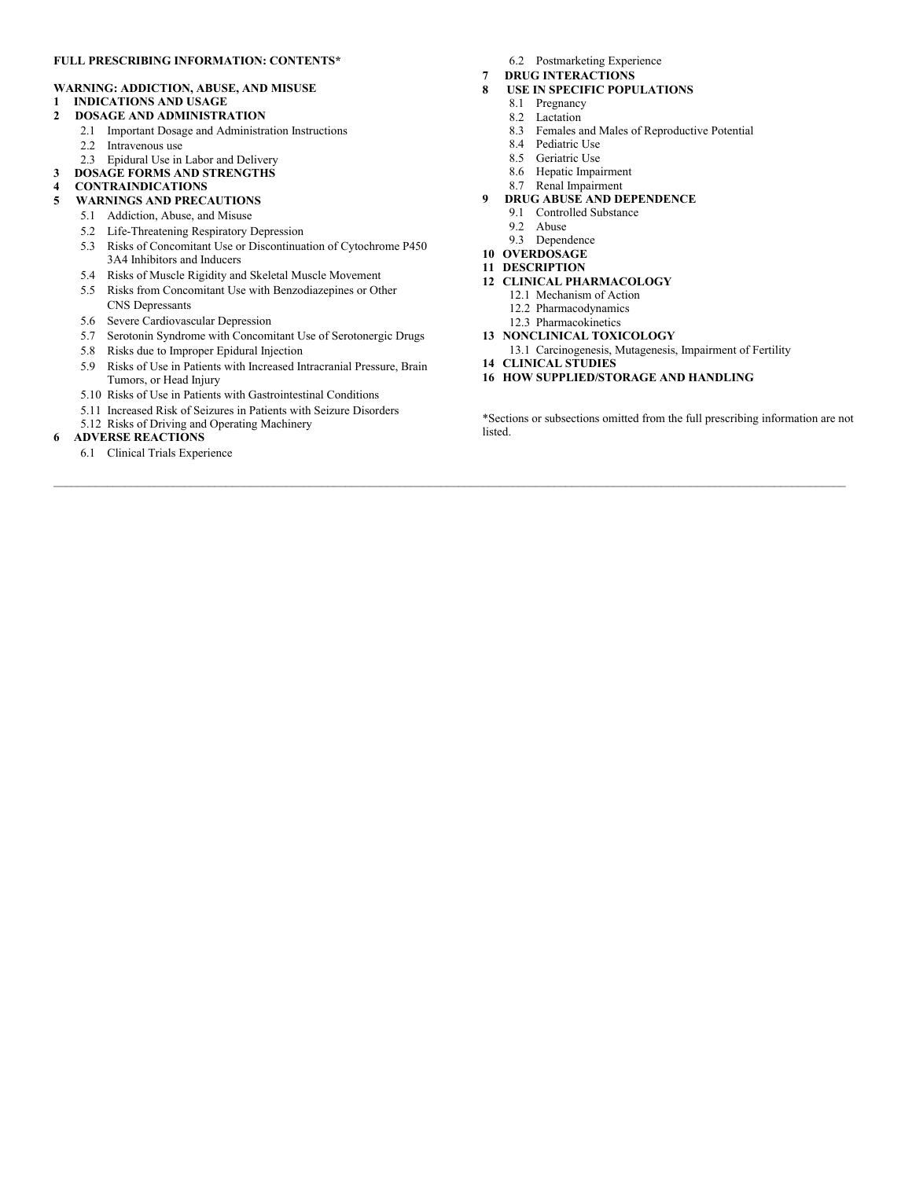#### **FULL PRESCRIBING INFORMATION: CONTENTS\***

#### **WARNING: ADDICTION, ABUSE, AND MISUSE**

- **1 INDICATIONS AND USAGE**
- **2 DOSAGE AND ADMINISTRATION**
	- 2.1 Important Dosage and Administration Instructions
	- 2.2 Intravenous use
	- 2.3 Epidural Use in Labor and Delivery
- **3 DOSAGE FORMS AND STRENGTHS**
- **4 CONTRAINDICATIONS**

#### **5 WARNINGS AND PRECAUTIONS**

- 5.1 Addiction, Abuse, and Misuse
- 5.2 Life-Threatening Respiratory Depression
- 5.3 Risks of Concomitant Use or Discontinuation of Cytochrome P450 3A4 Inhibitors and Inducers
- 5.4 Risks of Muscle Rigidity and Skeletal Muscle Movement
- 5.5 Risks from Concomitant Use with Benzodiazepines or Other CNS Depressants
- 5.6 Severe Cardiovascular Depression
- 5.7 Serotonin Syndrome with Concomitant Use of Serotonergic Drugs
- 5.8 Risks due to Improper Epidural Injection
- 5.9 Risks of Use in Patients with Increased Intracranial Pressure, Brain Tumors, or Head Injury
- 5.10 Risks of Use in Patients with Gastrointestinal Conditions
- 5.11 Increased Risk of Seizures in Patients with Seizure Disorders
- 5.12 Risks of Driving and Operating Machinery

#### **6 ADVERSE REACTIONS**

6.1 Clinical Trials Experience

- 6.2 Postmarketing Experience
- **7 DRUG INTERACTIONS**
- **8 USE IN SPECIFIC POPULATIONS**
	- 8.1 Pregnancy
	- 8.2 Lactation<br>8.3 Females a
	- Females and Males of Reproductive Potential
	- 8.4 Pediatric Use<br>8.5 Geriatric Use
	- Geriatric Use
	- 8.6 Hepatic Impairment
	- 8.7 Renal Impairment
- **9 DRUG ABUSE AND DEPENDENCE**
	- 9.1 Controlled Substance
	- 9.2 Abuse
	- 9.3 Dependence
- **10 OVERDOSAGE**
- **11 DESCRIPTION**
- **12 CLINICAL PHARMACOLOGY**
	- 12.1 Mechanism of Action
	- 12.2 Pharmacodynamics
	- 12.3 Pharmacokinetics
- **13 NONCLINICAL TOXICOLOGY**
	- 13.1 Carcinogenesis, Mutagenesis, Impairment of Fertility
- **14 CLINICAL STUDIES**
- **16 HOW SUPPLIED/STORAGE AND HANDLING**

\*Sections or subsections omitted from the full prescribing information are not listed.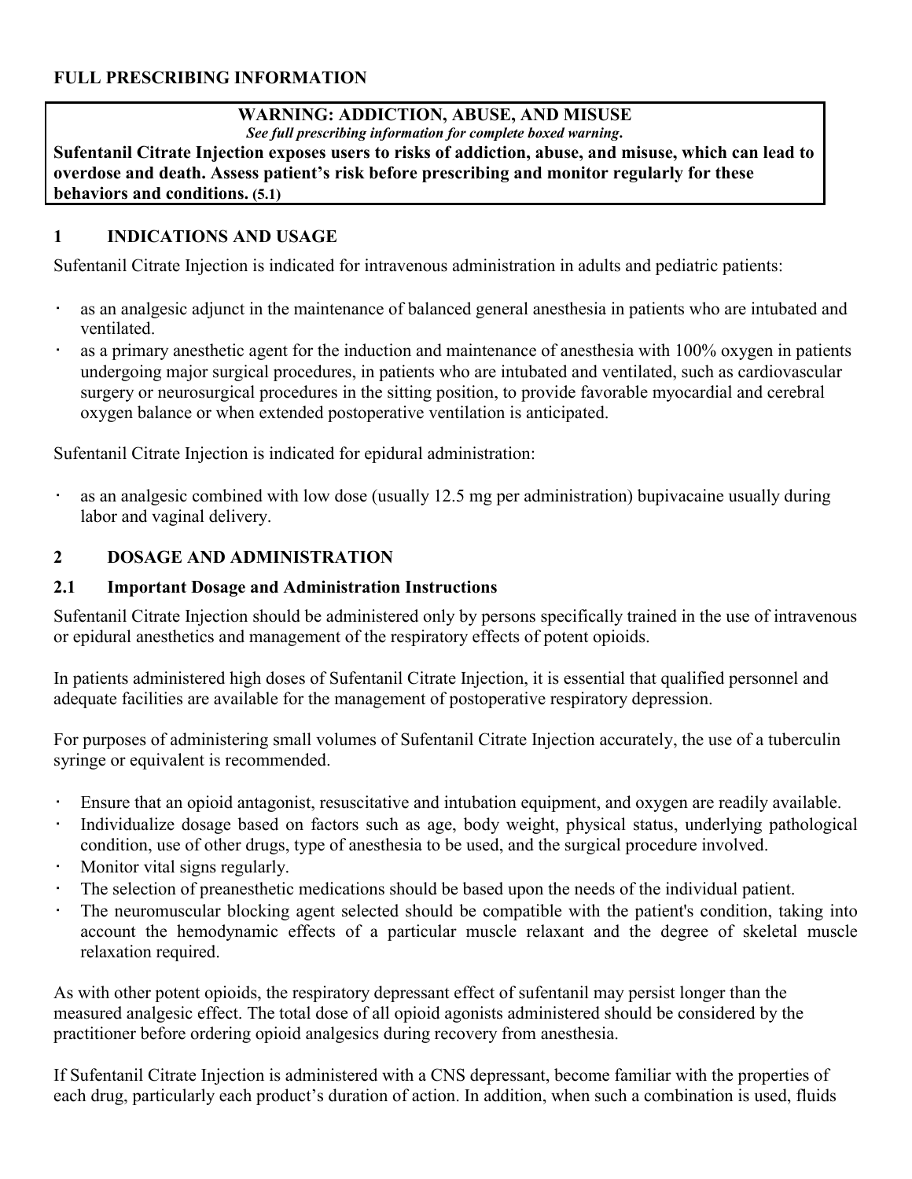## **FULL PRESCRIBING INFORMATION**

## **WARNING: ADDICTION, ABUSE, AND MISUSE**

*See full prescribing information for complete boxed warning***.**

**Sufentanil Citrate Injection exposes users to risks of addiction, abuse, and misuse, which can lead to overdose and death. Assess patient's risk before prescribing and monitor regularly for these behaviors and conditions. (5.1)**

## **1 INDICATIONS AND USAGE**

Sufentanil Citrate Injection is indicated for intravenous administration in adults and pediatric patients:

- as an analgesic adjunct in the maintenance of balanced general anesthesia in patients who are intubated and ventilated.
- as a primary anesthetic agent for the induction and maintenance of anesthesia with 100% oxygen in patients undergoing major surgical procedures, in patients who are intubated and ventilated, such as cardiovascular surgery or neurosurgical procedures in the sitting position, to provide favorable myocardial and cerebral oxygen balance or when extended postoperative ventilation is anticipated.

Sufentanil Citrate Injection is indicated for epidural administration:

as an analgesic combined with low dose (usually 12.5 mg per administration) bupivacaine usually during labor and vaginal delivery.

## **2 DOSAGE AND ADMINISTRATION**

## **2.1 Important Dosage and Administration Instructions**

Sufentanil Citrate Injection should be administered only by persons specifically trained in the use of intravenous or epidural anesthetics and management of the respiratory effects of potent opioids.

In patients administered high doses of Sufentanil Citrate Injection, it is essential that qualified personnel and adequate facilities are available for the management of postoperative respiratory depression.

For purposes of administering small volumes of Sufentanil Citrate Injection accurately, the use of a tuberculin syringe or equivalent is recommended.

- Ensure that an opioid antagonist, resuscitative and intubation equipment, and oxygen are readily available.
- Individualize dosage based on factors such as age, body weight, physical status, underlying pathological condition, use of other drugs, type of anesthesia to be used, and the surgical procedure involved.
- Monitor vital signs regularly.
- The selection of preanesthetic medications should be based upon the needs of the individual patient.
- The neuromuscular blocking agent selected should be compatible with the patient's condition, taking into account the hemodynamic effects of a particular muscle relaxant and the degree of skeletal muscle relaxation required.

As with other potent opioids, the respiratory depressant effect of sufentanil may persist longer than the measured analgesic effect. The total dose of all opioid agonists administered should be considered by the practitioner before ordering opioid analgesics during recovery from anesthesia.

If Sufentanil Citrate Injection is administered with a CNS depressant, become familiar with the properties of each drug, particularly each product's duration of action. In addition, when such a combination is used, fluids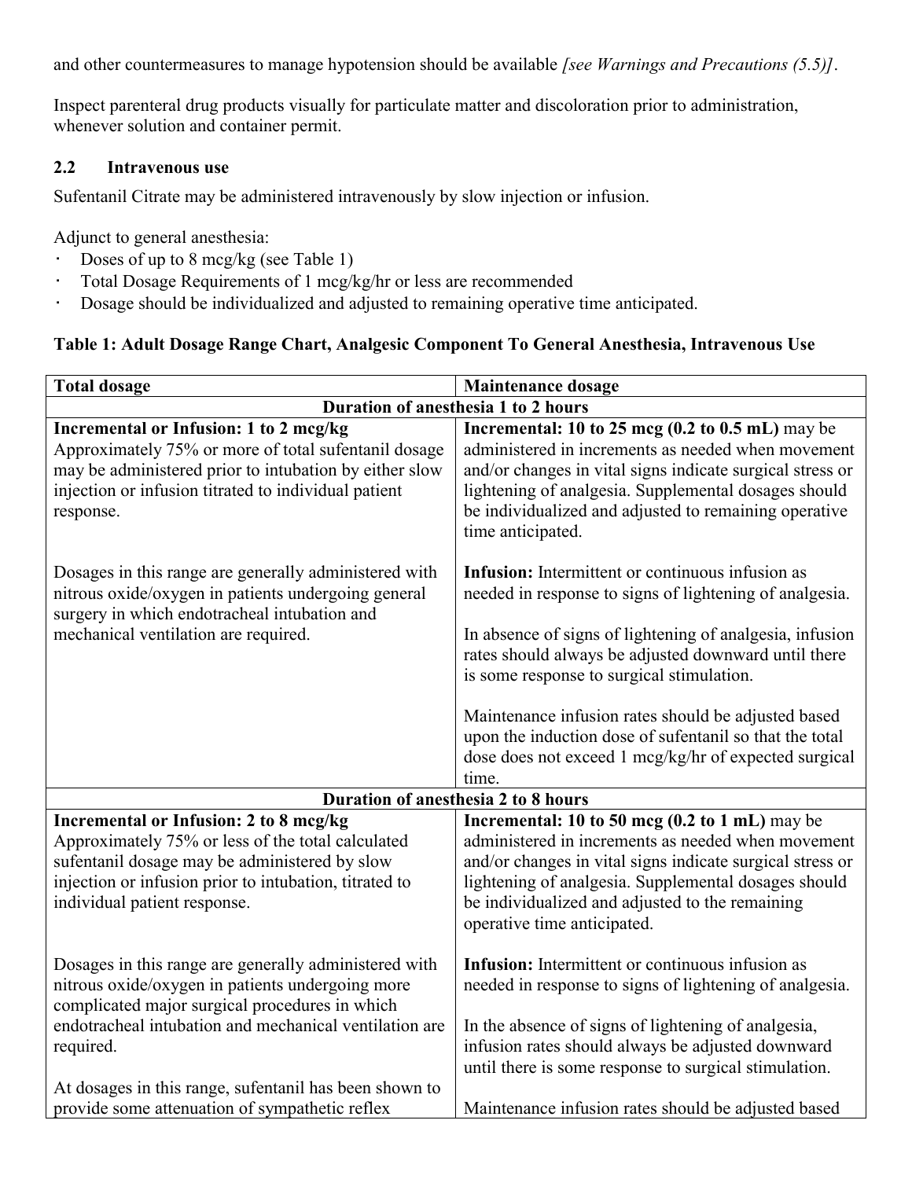and other countermeasures to manage hypotension should be available *[see Warnings and Precautions (5.5)]*.

Inspect parenteral drug products visually for particulate matter and discoloration prior to administration, whenever solution and container permit.

#### **2.2 Intravenous use**

Sufentanil Citrate may be administered intravenously by slow injection or infusion.

Adjunct to general anesthesia:

- Doses of up to 8 mcg/kg (see Table 1)
- Total Dosage Requirements of 1 mcg/kg/hr or less are recommended
- Dosage should be individualized and adjusted to remaining operative time anticipated.

## **Table 1: Adult Dosage Range Chart, Analgesic Component To General Anesthesia, Intravenous Use**

| <b>Total dosage</b>                                                                                                                                                                                                                                                                          | <b>Maintenance dosage</b>                                                                                                                                                                                                                                                                                                      |  |  |
|----------------------------------------------------------------------------------------------------------------------------------------------------------------------------------------------------------------------------------------------------------------------------------------------|--------------------------------------------------------------------------------------------------------------------------------------------------------------------------------------------------------------------------------------------------------------------------------------------------------------------------------|--|--|
| Duration of anesthesia 1 to 2 hours                                                                                                                                                                                                                                                          |                                                                                                                                                                                                                                                                                                                                |  |  |
| <b>Incremental or Infusion: 1 to 2 mcg/kg</b><br>Approximately 75% or more of total sufentanil dosage<br>may be administered prior to intubation by either slow<br>injection or infusion titrated to individual patient<br>response.                                                         | Incremental: 10 to 25 mcg $(0.2 \text{ to } 0.5 \text{ mL})$ may be<br>administered in increments as needed when movement<br>and/or changes in vital signs indicate surgical stress or<br>lightening of analgesia. Supplemental dosages should<br>be individualized and adjusted to remaining operative<br>time anticipated.   |  |  |
| Dosages in this range are generally administered with<br>nitrous oxide/oxygen in patients undergoing general<br>surgery in which endotracheal intubation and<br>mechanical ventilation are required.                                                                                         | Infusion: Intermittent or continuous infusion as<br>needed in response to signs of lightening of analgesia.<br>In absence of signs of lightening of analgesia, infusion<br>rates should always be adjusted downward until there<br>is some response to surgical stimulation.                                                   |  |  |
|                                                                                                                                                                                                                                                                                              | Maintenance infusion rates should be adjusted based<br>upon the induction dose of sufentanil so that the total<br>dose does not exceed 1 mcg/kg/hr of expected surgical<br>time.                                                                                                                                               |  |  |
| Duration of anesthesia 2 to 8 hours                                                                                                                                                                                                                                                          |                                                                                                                                                                                                                                                                                                                                |  |  |
| Incremental or Infusion: 2 to 8 mcg/kg<br>Approximately 75% or less of the total calculated<br>sufentanil dosage may be administered by slow<br>injection or infusion prior to intubation, titrated to<br>individual patient response.                                                       | Incremental: 10 to 50 mcg $(0.2 \text{ to } 1 \text{ mL})$ may be<br>administered in increments as needed when movement<br>and/or changes in vital signs indicate surgical stress or<br>lightening of analgesia. Supplemental dosages should<br>be individualized and adjusted to the remaining<br>operative time anticipated. |  |  |
| Dosages in this range are generally administered with<br>nitrous oxide/oxygen in patients undergoing more<br>complicated major surgical procedures in which<br>endotracheal intubation and mechanical ventilation are<br>required.<br>At dosages in this range, sufentanil has been shown to | Infusion: Intermittent or continuous infusion as<br>needed in response to signs of lightening of analgesia.<br>In the absence of signs of lightening of analgesia,<br>infusion rates should always be adjusted downward<br>until there is some response to surgical stimulation.                                               |  |  |
| provide some attenuation of sympathetic reflex                                                                                                                                                                                                                                               | Maintenance infusion rates should be adjusted based                                                                                                                                                                                                                                                                            |  |  |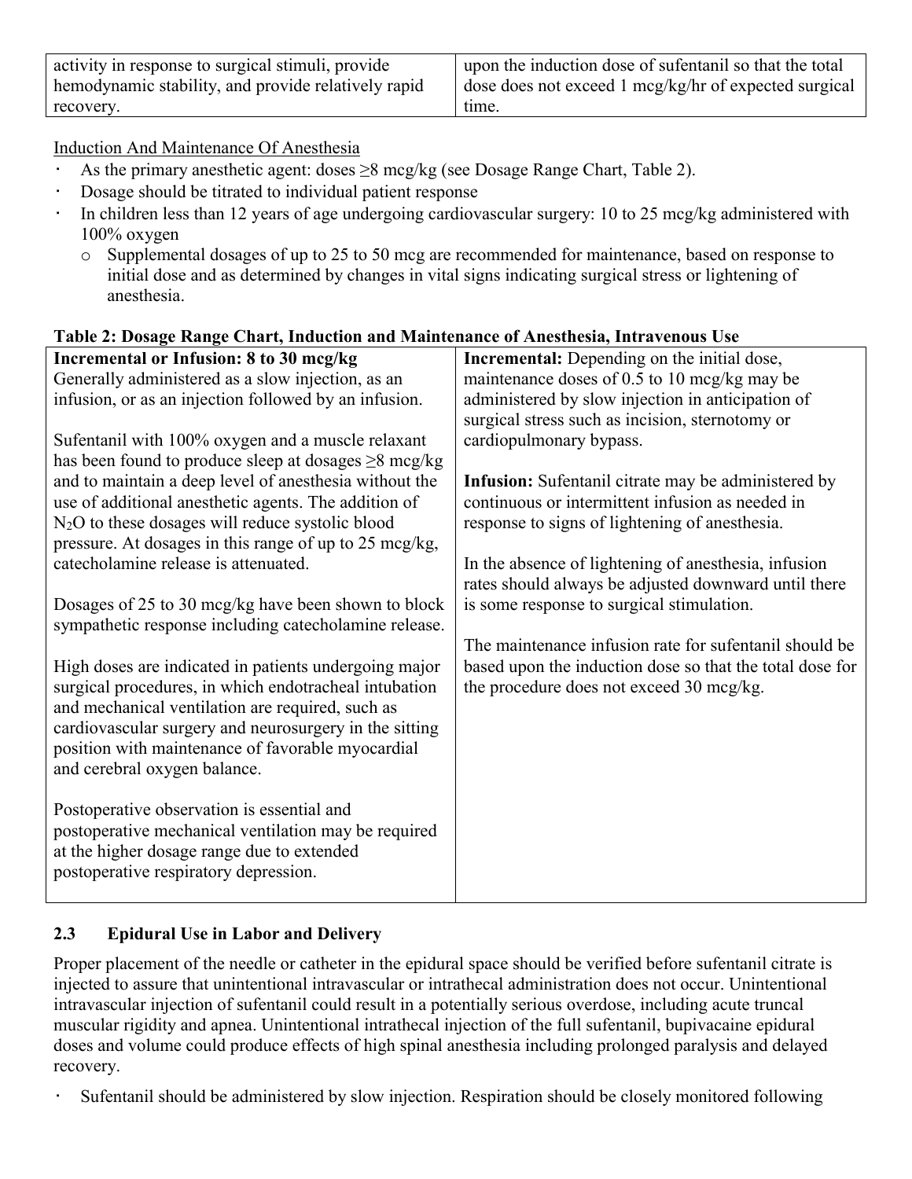| activity in response to surgical stimuli, provide   | upon the induction dose of sufentanil so that the total        |
|-----------------------------------------------------|----------------------------------------------------------------|
| hemodynamic stability, and provide relatively rapid | $\alpha$ dose does not exceed 1 mcg/kg/hr of expected surgical |
| recovery.                                           | time.                                                          |

Induction And Maintenance Of Anesthesia

- As the primary anesthetic agent: doses  $\geq 8$  mcg/kg (see Dosage Range Chart, Table 2).
- Dosage should be titrated to individual patient response
- In children less than 12 years of age undergoing cardiovascular surgery: 10 to 25 mcg/kg administered with 100% oxygen
	- o Supplemental dosages of up to 25 to 50 mcg are recommended for maintenance, based on response to initial dose and as determined by changes in vital signs indicating surgical stress or lightening of anesthesia.

| Incremental or Infusion: 8 to 30 mcg/kg                      | <b>Incremental:</b> Depending on the initial dose,         |
|--------------------------------------------------------------|------------------------------------------------------------|
| Generally administered as a slow injection, as an            | maintenance doses of $0.5$ to $10 \text{~mag/kg}$ may be   |
| infusion, or as an injection followed by an infusion.        | administered by slow injection in anticipation of          |
|                                                              | surgical stress such as incision, sternotomy or            |
| Sufentanil with 100% oxygen and a muscle relaxant            | cardiopulmonary bypass.                                    |
| has been found to produce sleep at dosages $\geq 8$ mcg/kg   |                                                            |
| and to maintain a deep level of anesthesia without the       | <b>Infusion:</b> Sufentanil citrate may be administered by |
| use of additional anesthetic agents. The addition of         | continuous or intermittent infusion as needed in           |
| N <sub>2</sub> O to these dosages will reduce systolic blood | response to signs of lightening of anesthesia.             |
| pressure. At dosages in this range of up to 25 mcg/kg,       |                                                            |
| catecholamine release is attenuated.                         | In the absence of lightening of anesthesia, infusion       |
|                                                              | rates should always be adjusted downward until there       |
| Dosages of 25 to 30 mcg/kg have been shown to block          | is some response to surgical stimulation.                  |
| sympathetic response including catecholamine release.        |                                                            |
|                                                              | The maintenance infusion rate for sufentanil should be     |
| High doses are indicated in patients undergoing major        | based upon the induction dose so that the total dose for   |
| surgical procedures, in which endotracheal intubation        | the procedure does not exceed 30 mcg/kg.                   |
| and mechanical ventilation are required, such as             |                                                            |
| cardiovascular surgery and neurosurgery in the sitting       |                                                            |
| position with maintenance of favorable myocardial            |                                                            |
| and cerebral oxygen balance.                                 |                                                            |
|                                                              |                                                            |
| Postoperative observation is essential and                   |                                                            |
| postoperative mechanical ventilation may be required         |                                                            |
| at the higher dosage range due to extended                   |                                                            |
| postoperative respiratory depression.                        |                                                            |
|                                                              |                                                            |

## **Table 2: Dosage Range Chart, Induction and Maintenance of Anesthesia, Intravenous Use**

## **2.3 Epidural Use in Labor and Delivery**

Proper placement of the needle or catheter in the epidural space should be verified before sufentanil citrate is injected to assure that unintentional intravascular or intrathecal administration does not occur. Unintentional intravascular injection of sufentanil could result in a potentially serious overdose, including acute truncal muscular rigidity and apnea. Unintentional intrathecal injection of the full sufentanil, bupivacaine epidural doses and volume could produce effects of high spinal anesthesia including prolonged paralysis and delayed recovery.

Sufentanil should be administered by slow injection. Respiration should be closely monitored following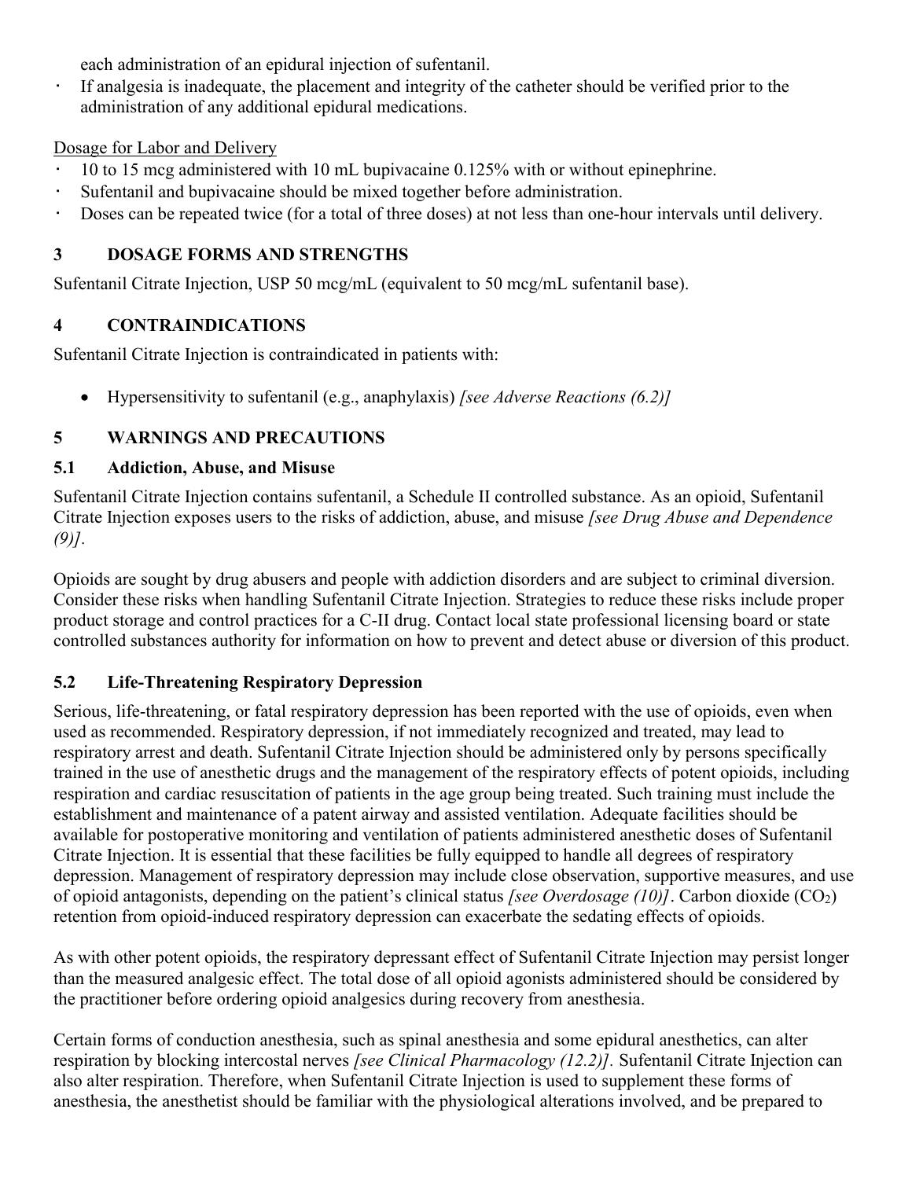each administration of an epidural injection of sufentanil.

• If analgesia is inadequate, the placement and integrity of the catheter should be verified prior to the administration of any additional epidural medications.

## Dosage for Labor and Delivery

- 10 to 15 mcg administered with 10 mL bupivacaine 0.125% with or without epinephrine.
- Sufentanil and bupivacaine should be mixed together before administration.
- Doses can be repeated twice (for a total of three doses) at not less than one-hour intervals until delivery.

# **3 DOSAGE FORMS AND STRENGTHS**

Sufentanil Citrate Injection, USP 50 mcg/mL (equivalent to 50 mcg/mL sufentanil base).

# **4 CONTRAINDICATIONS**

Sufentanil Citrate Injection is contraindicated in patients with:

Hypersensitivity to sufentanil (e.g., anaphylaxis) *[see Adverse Reactions (6.2)]*

# **5 WARNINGS AND PRECAUTIONS**

# **5.1 Addiction, Abuse, and Misuse**

Sufentanil Citrate Injection contains sufentanil, a Schedule II controlled substance. As an opioid, Sufentanil Citrate Injection exposes users to the risks of addiction, abuse, and misuse *[see Drug Abuse and Dependence (9)].*

Opioids are sought by drug abusers and people with addiction disorders and are subject to criminal diversion. Consider these risks when handling Sufentanil Citrate Injection. Strategies to reduce these risks include proper product storage and control practices for a C-II drug. Contact local state professional licensing board or state controlled substances authority for information on how to prevent and detect abuse or diversion of this product.

# **5.2 Life-Threatening Respiratory Depression**

Serious, life-threatening, or fatal respiratory depression has been reported with the use of opioids, even when used as recommended. Respiratory depression, if not immediately recognized and treated, may lead to respiratory arrest and death. Sufentanil Citrate Injection should be administered only by persons specifically trained in the use of anesthetic drugs and the management of the respiratory effects of potent opioids, including respiration and cardiac resuscitation of patients in the age group being treated. Such training must include the establishment and maintenance of a patent airway and assisted ventilation. Adequate facilities should be available for postoperative monitoring and ventilation of patients administered anesthetic doses of Sufentanil Citrate Injection. It is essential that these facilities be fully equipped to handle all degrees of respiratory depression. Management of respiratory depression may include close observation, supportive measures, and use of opioid antagonists, depending on the patient's clinical status *[see Overdosage (10)]*. Carbon dioxide (CO2) retention from opioid-induced respiratory depression can exacerbate the sedating effects of opioids.

As with other potent opioids, the respiratory depressant effect of Sufentanil Citrate Injection may persist longer than the measured analgesic effect. The total dose of all opioid agonists administered should be considered by the practitioner before ordering opioid analgesics during recovery from anesthesia.

Certain forms of conduction anesthesia, such as spinal anesthesia and some epidural anesthetics, can alter respiration by blocking intercostal nerves *[see Clinical Pharmacology (12.2)].* Sufentanil Citrate Injection can also alter respiration. Therefore, when Sufentanil Citrate Injection is used to supplement these forms of anesthesia, the anesthetist should be familiar with the physiological alterations involved, and be prepared to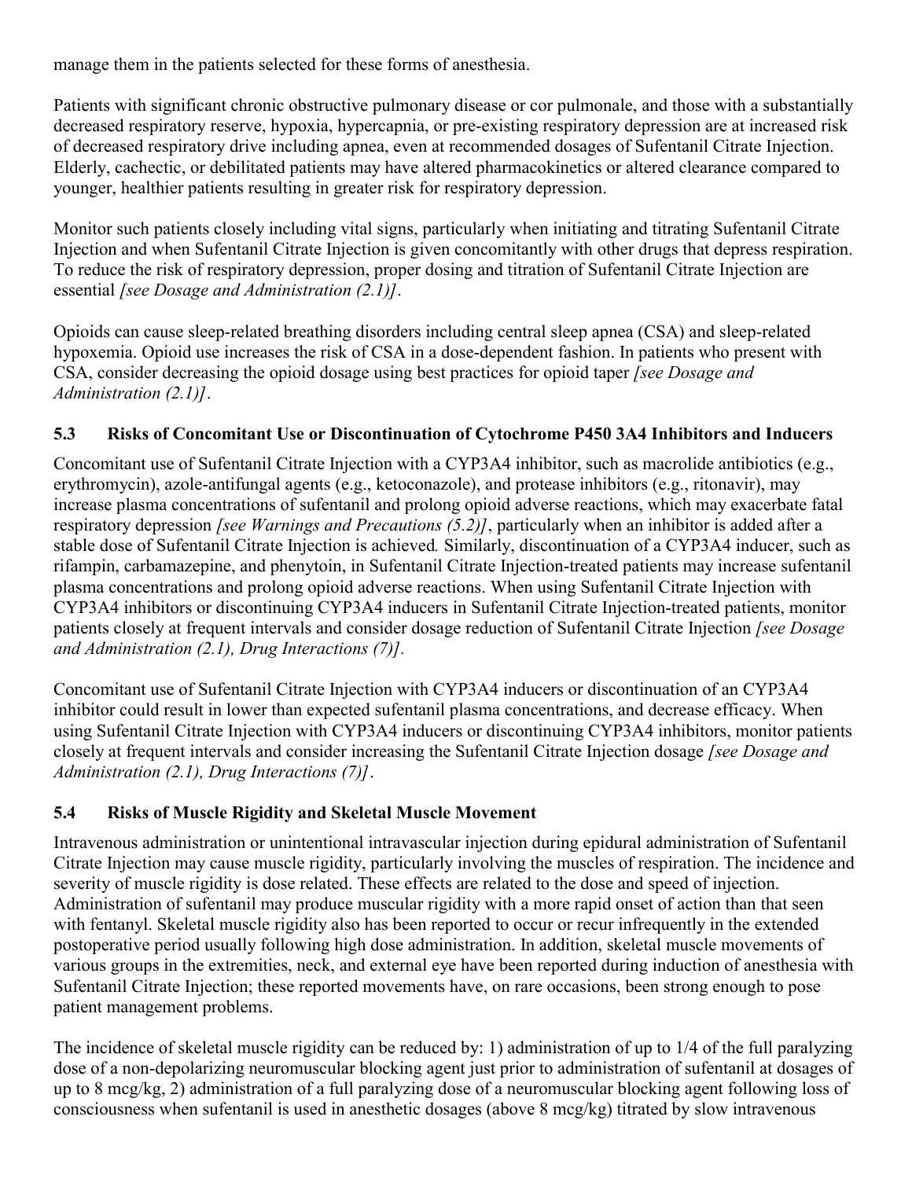manage them in the patients selected for these forms of anesthesia.

Patients with significant chronic obstructive pulmonary disease or cor pulmonale, and those with a substantially decreased respiratory reserve, hypoxia, hypercapnia, or pre-existing respiratory depression are at increased risk of decreased respiratory drive including apnea, even at recommended dosages of Sufentanil Citrate Injection. Elderly, cachectic, or debilitated patients may have altered pharmacokinetics or altered clearance compared to younger, healthier patients resulting in greater risk for respiratory depression.

Monitor such patients closely including vital signs, particularly when initiating and titrating Sufentanil Citrate Injection and when Sufentanil Citrate Injection is given concomitantly with other drugs that depress respiration. To reduce the risk of respiratory depression, proper dosing and titration of Sufentanil Citrate Injection are essential *[see Dosage and Administration (2.1)]*.

Opioids can cause sleep-related breathing disorders including central sleep apnea (CSA) and sleep-related hypoxemia. Opioid use increases the risk of CSA in a dose-dependent fashion. In patients who present with CSA, consider decreasing the opioid dosage using best practices for opioid taper *[see Dosage and Administration (2.1)]*.

## **5.3 Risks of Concomitant Use or Discontinuation of Cytochrome P450 3A4 Inhibitors and Inducers**

Concomitant use of Sufentanil Citrate Injection with a CYP3A4 inhibitor, such as macrolide antibiotics (e.g., erythromycin), azole-antifungal agents (e.g., ketoconazole), and protease inhibitors (e.g., ritonavir), may increase plasma concentrations of sufentanil and prolong opioid adverse reactions, which may exacerbate fatal respiratory depression *[see Warnings and Precautions (5.2)]*, particularly when an inhibitor is added after a stable dose of Sufentanil Citrate Injection is achieved*.* Similarly, discontinuation of a CYP3A4 inducer, such as rifampin, carbamazepine, and phenytoin, in Sufentanil Citrate Injection-treated patients may increase sufentanil plasma concentrations and prolong opioid adverse reactions. When using Sufentanil Citrate Injection with CYP3A4 inhibitors or discontinuing CYP3A4 inducers in Sufentanil Citrate Injection-treated patients, monitor patients closely at frequent intervals and consider dosage reduction of Sufentanil Citrate Injection *[see Dosage and Administration (2.1), Drug Interactions (7)].*

Concomitant use of Sufentanil Citrate Injection with CYP3A4 inducers or discontinuation of an CYP3A4 inhibitor could result in lower than expected sufentanil plasma concentrations, and decrease efficacy. When using Sufentanil Citrate Injection with CYP3A4 inducers or discontinuing CYP3A4 inhibitors, monitor patients closely at frequent intervals and consider increasing the Sufentanil Citrate Injection dosage *[see Dosage and Administration (2.1), Drug Interactions (7)]*.

## **5.4 Risks of Muscle Rigidity and Skeletal Muscle Movement**

Intravenous administration or unintentional intravascular injection during epidural administration of Sufentanil Citrate Injection may cause muscle rigidity, particularly involving the muscles of respiration. The incidence and severity of muscle rigidity is dose related. These effects are related to the dose and speed of injection. Administration of sufentanil may produce muscular rigidity with a more rapid onset of action than that seen with fentanyl. Skeletal muscle rigidity also has been reported to occur or recur infrequently in the extended postoperative period usually following high dose administration. In addition, skeletal muscle movements of various groups in the extremities, neck, and external eye have been reported during induction of anesthesia with Sufentanil Citrate Injection; these reported movements have, on rare occasions, been strong enough to pose patient management problems.

The incidence of skeletal muscle rigidity can be reduced by: 1) administration of up to 1/4 of the full paralyzing dose of a non-depolarizing neuromuscular blocking agent just prior to administration of sufentanil at dosages of up to 8 mcg/kg, 2) administration of a full paralyzing dose of a neuromuscular blocking agent following loss of consciousness when sufentanil is used in anesthetic dosages (above 8 mcg/kg) titrated by slow intravenous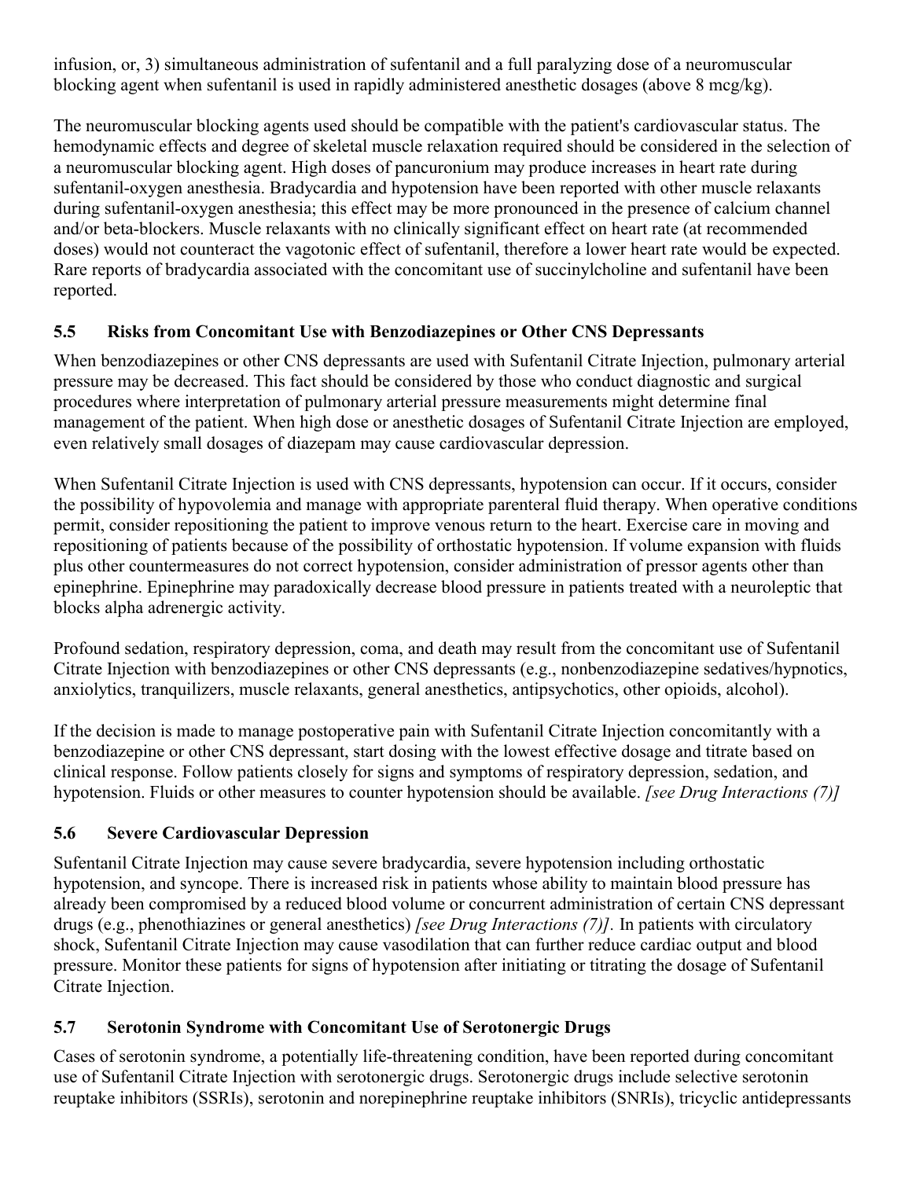infusion, or, 3) simultaneous administration of sufentanil and a full paralyzing dose of a neuromuscular blocking agent when sufentanil is used in rapidly administered anesthetic dosages (above 8 mcg/kg).

The neuromuscular blocking agents used should be compatible with the patient's cardiovascular status. The hemodynamic effects and degree of skeletal muscle relaxation required should be considered in the selection of a neuromuscular blocking agent. High doses of pancuronium may produce increases in heart rate during sufentanil-oxygen anesthesia. Bradycardia and hypotension have been reported with other muscle relaxants during sufentanil-oxygen anesthesia; this effect may be more pronounced in the presence of calcium channel and/or beta-blockers. Muscle relaxants with no clinically significant effect on heart rate (at recommended doses) would not counteract the vagotonic effect of sufentanil, therefore a lower heart rate would be expected. Rare reports of bradycardia associated with the concomitant use of succinylcholine and sufentanil have been reported.

## **5.5 Risks from Concomitant Use with Benzodiazepines or Other CNS Depressants**

When benzodiazepines or other CNS depressants are used with Sufentanil Citrate Injection, pulmonary arterial pressure may be decreased. This fact should be considered by those who conduct diagnostic and surgical procedures where interpretation of pulmonary arterial pressure measurements might determine final management of the patient. When high dose or anesthetic dosages of Sufentanil Citrate Injection are employed, even relatively small dosages of diazepam may cause cardiovascular depression.

When Sufentanil Citrate Injection is used with CNS depressants, hypotension can occur. If it occurs, consider the possibility of hypovolemia and manage with appropriate parenteral fluid therapy. When operative conditions permit, consider repositioning the patient to improve venous return to the heart. Exercise care in moving and repositioning of patients because of the possibility of orthostatic hypotension. If volume expansion with fluids plus other countermeasures do not correct hypotension, consider administration of pressor agents other than epinephrine. Epinephrine may paradoxically decrease blood pressure in patients treated with a neuroleptic that blocks alpha adrenergic activity.

Profound sedation, respiratory depression, coma, and death may result from the concomitant use of Sufentanil Citrate Injection with benzodiazepines or other CNS depressants (e.g., nonbenzodiazepine sedatives/hypnotics, anxiolytics, tranquilizers, muscle relaxants, general anesthetics, antipsychotics, other opioids, alcohol).

If the decision is made to manage postoperative pain with Sufentanil Citrate Injection concomitantly with a benzodiazepine or other CNS depressant, start dosing with the lowest effective dosage and titrate based on clinical response. Follow patients closely for signs and symptoms of respiratory depression, sedation, and hypotension. Fluids or other measures to counter hypotension should be available. *[see Drug Interactions (7)]*

## **5.6 Severe Cardiovascular Depression**

Sufentanil Citrate Injection may cause severe bradycardia, severe hypotension including orthostatic hypotension, and syncope. There is increased risk in patients whose ability to maintain blood pressure has already been compromised by a reduced blood volume or concurrent administration of certain CNS depressant drugs (e.g., phenothiazines or general anesthetics) *[see Drug Interactions (7)].* In patients with circulatory shock, Sufentanil Citrate Injection may cause vasodilation that can further reduce cardiac output and blood pressure. Monitor these patients for signs of hypotension after initiating or titrating the dosage of Sufentanil Citrate Injection.

## **5.7 Serotonin Syndrome with Concomitant Use of Serotonergic Drugs**

Cases of serotonin syndrome, a potentially life-threatening condition, have been reported during concomitant use of Sufentanil Citrate Injection with serotonergic drugs. Serotonergic drugs include selective serotonin reuptake inhibitors (SSRIs), serotonin and norepinephrine reuptake inhibitors (SNRIs), tricyclic antidepressants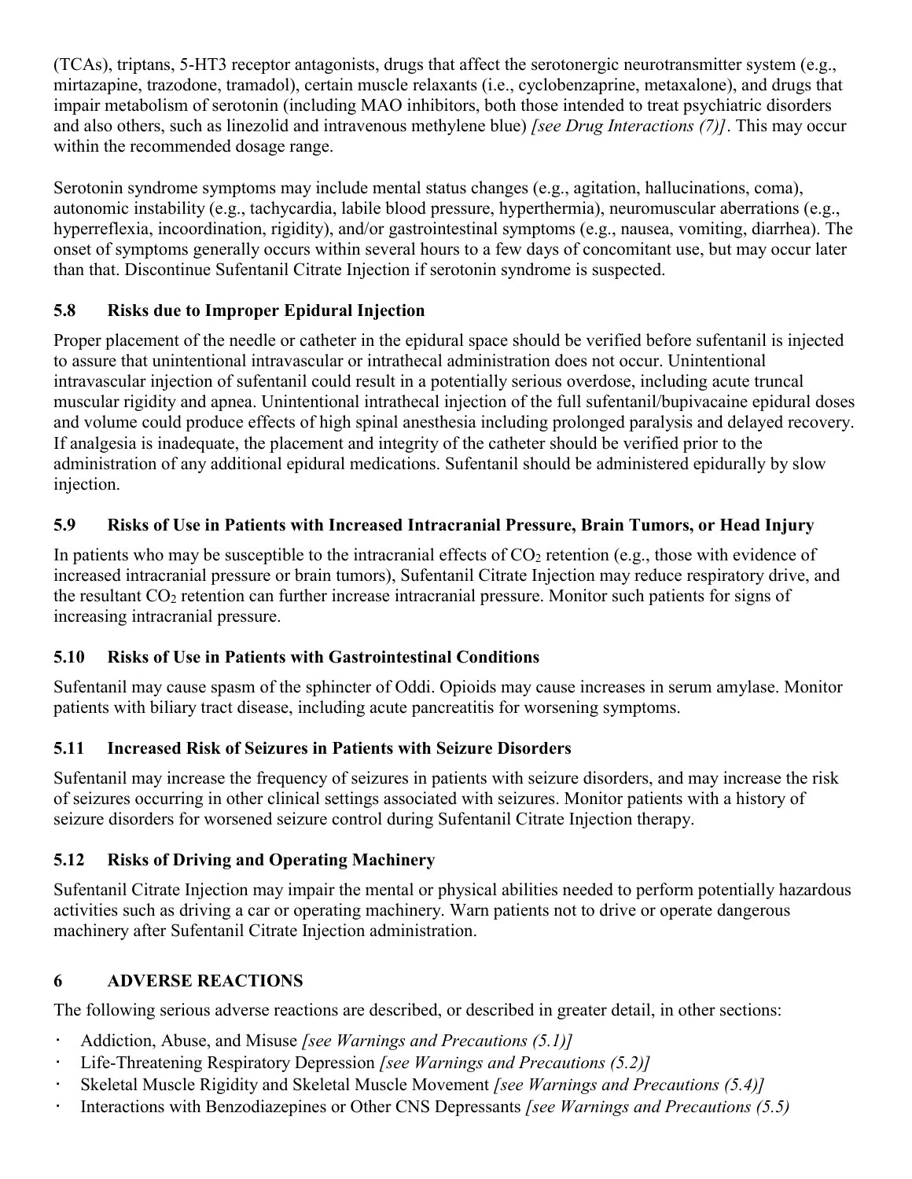(TCAs), triptans, 5-HT3 receptor antagonists, drugs that affect the serotonergic neurotransmitter system (e.g., mirtazapine, trazodone, tramadol), certain muscle relaxants (i.e., cyclobenzaprine, metaxalone), and drugs that impair metabolism of serotonin (including MAO inhibitors, both those intended to treat psychiatric disorders and also others, such as linezolid and intravenous methylene blue) *[see Drug Interactions (7)]*. This may occur within the recommended dosage range.

Serotonin syndrome symptoms may include mental status changes (e.g., agitation, hallucinations, coma), autonomic instability (e.g., tachycardia, labile blood pressure, hyperthermia), neuromuscular aberrations (e.g., hyperreflexia, incoordination, rigidity), and/or gastrointestinal symptoms (e.g., nausea, vomiting, diarrhea). The onset of symptoms generally occurs within several hours to a few days of concomitant use, but may occur later than that. Discontinue Sufentanil Citrate Injection if serotonin syndrome is suspected.

## **5.8 Risks due to Improper Epidural Injection**

Proper placement of the needle or catheter in the epidural space should be verified before sufentanil is injected to assure that unintentional intravascular or intrathecal administration does not occur. Unintentional intravascular injection of sufentanil could result in a potentially serious overdose, including acute truncal muscular rigidity and apnea. Unintentional intrathecal injection of the full sufentanil/bupivacaine epidural doses and volume could produce effects of high spinal anesthesia including prolonged paralysis and delayed recovery. If analgesia is inadequate, the placement and integrity of the catheter should be verified prior to the administration of any additional epidural medications. Sufentanil should be administered epidurally by slow injection.

## **5.9 Risks of Use in Patients with Increased Intracranial Pressure, Brain Tumors, or Head Injury**

In patients who may be susceptible to the intracranial effects of  $CO<sub>2</sub>$  retention (e.g., those with evidence of increased intracranial pressure or brain tumors), Sufentanil Citrate Injection may reduce respiratory drive, and the resultant CO<sup>2</sup> retention can further increase intracranial pressure. Monitor such patients for signs of increasing intracranial pressure.

# **5.10 Risks of Use in Patients with Gastrointestinal Conditions**

Sufentanil may cause spasm of the sphincter of Oddi. Opioids may cause increases in serum amylase. Monitor patients with biliary tract disease, including acute pancreatitis for worsening symptoms.

# **5.11 Increased Risk of Seizures in Patients with Seizure Disorders**

Sufentanil may increase the frequency of seizures in patients with seizure disorders, and may increase the risk of seizures occurring in other clinical settings associated with seizures. Monitor patients with a history of seizure disorders for worsened seizure control during Sufentanil Citrate Injection therapy.

# **5.12 Risks of Driving and Operating Machinery**

Sufentanil Citrate Injection may impair the mental or physical abilities needed to perform potentially hazardous activities such as driving a car or operating machinery. Warn patients not to drive or operate dangerous machinery after Sufentanil Citrate Injection administration.

# **6 ADVERSE REACTIONS**

The following serious adverse reactions are described, or described in greater detail, in other sections:

- Addiction, Abuse, and Misuse *[see Warnings and Precautions (5.1)]*
- Life-Threatening Respiratory Depression *[see Warnings and Precautions (5.2)]*
- Skeletal Muscle Rigidity and Skeletal Muscle Movement *[see Warnings and Precautions (5.4)]*
- Interactions with Benzodiazepines or Other CNS Depressants *[see Warnings and Precautions (5.5)*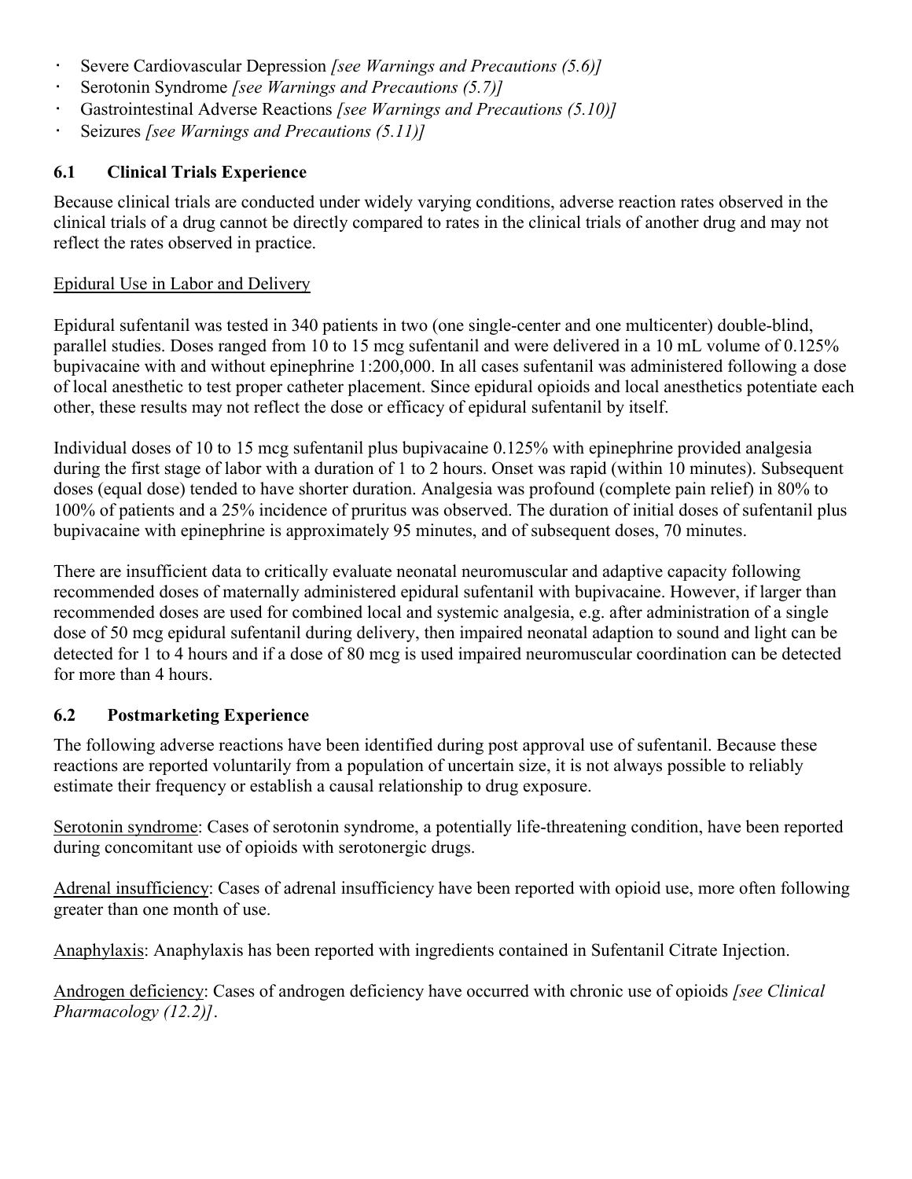- Severe Cardiovascular Depression *[see Warnings and Precautions (5.6)]*
- Serotonin Syndrome *[see Warnings and Precautions (5.7)]*
- Gastrointestinal Adverse Reactions *[see Warnings and Precautions (5.10)]*
- Seizures *[see Warnings and Precautions (5.11)]*

## **6.1 Clinical Trials Experience**

Because clinical trials are conducted under widely varying conditions, adverse reaction rates observed in the clinical trials of a drug cannot be directly compared to rates in the clinical trials of another drug and may not reflect the rates observed in practice.

## Epidural Use in Labor and Delivery

Epidural sufentanil was tested in 340 patients in two (one single-center and one multicenter) double-blind, parallel studies. Doses ranged from 10 to 15 mcg sufentanil and were delivered in a 10 mL volume of 0.125% bupivacaine with and without epinephrine 1:200,000. In all cases sufentanil was administered following a dose of local anesthetic to test proper catheter placement. Since epidural opioids and local anesthetics potentiate each other, these results may not reflect the dose or efficacy of epidural sufentanil by itself.

Individual doses of 10 to 15 mcg sufentanil plus bupivacaine 0.125% with epinephrine provided analgesia during the first stage of labor with a duration of 1 to 2 hours. Onset was rapid (within 10 minutes). Subsequent doses (equal dose) tended to have shorter duration. Analgesia was profound (complete pain relief) in 80% to 100% of patients and a 25% incidence of pruritus was observed. The duration of initial doses of sufentanil plus bupivacaine with epinephrine is approximately 95 minutes, and of subsequent doses, 70 minutes.

There are insufficient data to critically evaluate neonatal neuromuscular and adaptive capacity following recommended doses of maternally administered epidural sufentanil with bupivacaine. However, if larger than recommended doses are used for combined local and systemic analgesia, e.g. after administration of a single dose of 50 mcg epidural sufentanil during delivery, then impaired neonatal adaption to sound and light can be detected for 1 to 4 hours and if a dose of 80 mcg is used impaired neuromuscular coordination can be detected for more than 4 hours.

## **6.2 Postmarketing Experience**

The following adverse reactions have been identified during post approval use of sufentanil. Because these reactions are reported voluntarily from a population of uncertain size, it is not always possible to reliably estimate their frequency or establish a causal relationship to drug exposure.

Serotonin syndrome: Cases of serotonin syndrome, a potentially life-threatening condition, have been reported during concomitant use of opioids with serotonergic drugs.

Adrenal insufficiency: Cases of adrenal insufficiency have been reported with opioid use, more often following greater than one month of use.

Anaphylaxis: Anaphylaxis has been reported with ingredients contained in Sufentanil Citrate Injection.

Androgen deficiency: Cases of androgen deficiency have occurred with chronic use of opioids *[see Clinical Pharmacology (12.2)]*.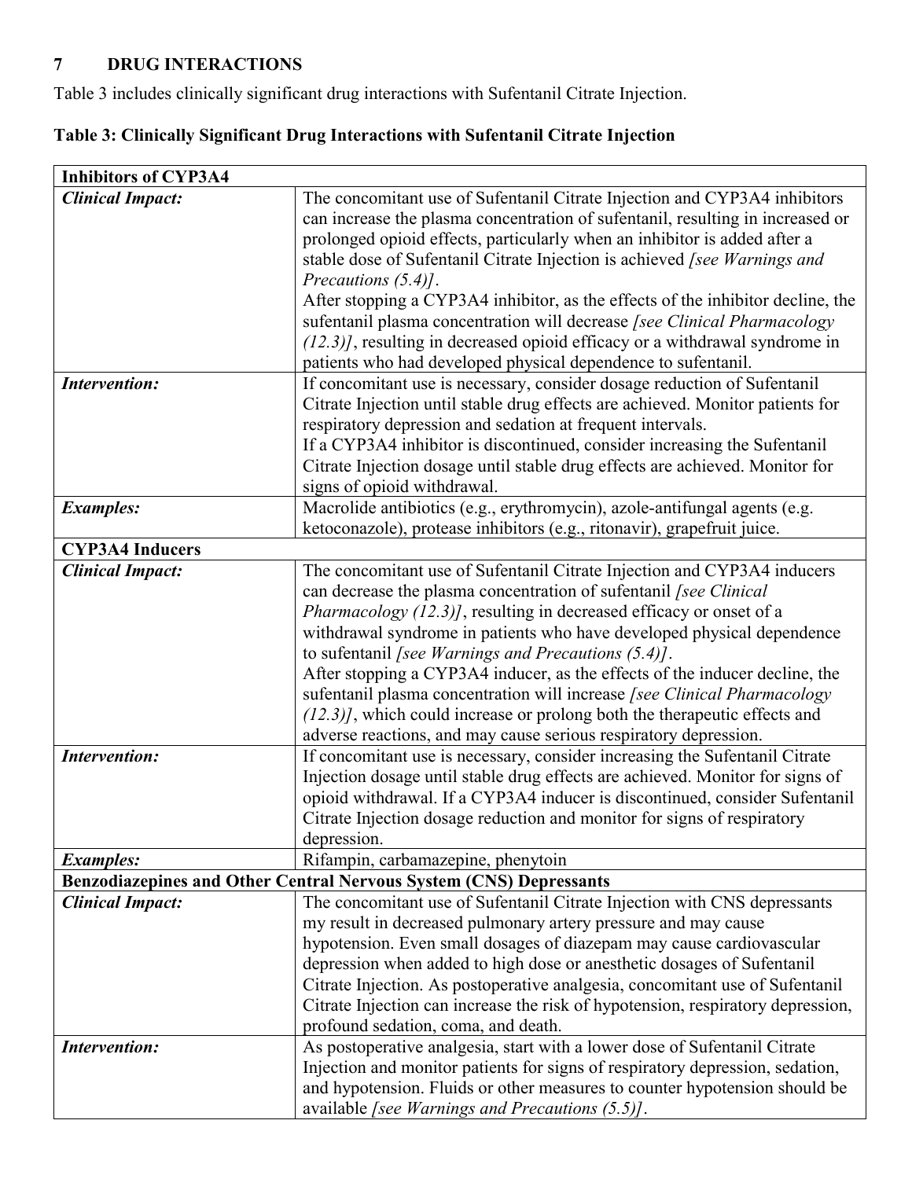# **7 DRUG INTERACTIONS**

Table 3 includes clinically significant drug interactions with Sufentanil Citrate Injection.

# **Table 3: Clinically Significant Drug Interactions with Sufentanil Citrate Injection**

| <b>Inhibitors of CYP3A4</b>                                        |                                                                                 |  |
|--------------------------------------------------------------------|---------------------------------------------------------------------------------|--|
| <b>Clinical Impact:</b>                                            | The concomitant use of Sufentanil Citrate Injection and CYP3A4 inhibitors       |  |
|                                                                    | can increase the plasma concentration of sufentanil, resulting in increased or  |  |
|                                                                    | prolonged opioid effects, particularly when an inhibitor is added after a       |  |
|                                                                    | stable dose of Sufentanil Citrate Injection is achieved [see Warnings and       |  |
|                                                                    | Precautions $(5.4)$ .                                                           |  |
|                                                                    | After stopping a CYP3A4 inhibitor, as the effects of the inhibitor decline, the |  |
|                                                                    | sufentanil plasma concentration will decrease [see Clinical Pharmacology        |  |
|                                                                    | $(12.3)$ , resulting in decreased opioid efficacy or a withdrawal syndrome in   |  |
|                                                                    | patients who had developed physical dependence to sufentanil.                   |  |
| <b>Intervention:</b>                                               | If concomitant use is necessary, consider dosage reduction of Sufentanil        |  |
|                                                                    | Citrate Injection until stable drug effects are achieved. Monitor patients for  |  |
|                                                                    | respiratory depression and sedation at frequent intervals.                      |  |
|                                                                    | If a CYP3A4 inhibitor is discontinued, consider increasing the Sufentanil       |  |
|                                                                    | Citrate Injection dosage until stable drug effects are achieved. Monitor for    |  |
|                                                                    | signs of opioid withdrawal.                                                     |  |
| <b>Examples:</b>                                                   | Macrolide antibiotics (e.g., erythromycin), azole-antifungal agents (e.g.       |  |
|                                                                    | ketoconazole), protease inhibitors (e.g., ritonavir), grapefruit juice.         |  |
| <b>CYP3A4 Inducers</b>                                             |                                                                                 |  |
| <b>Clinical Impact:</b>                                            | The concomitant use of Sufentanil Citrate Injection and CYP3A4 inducers         |  |
|                                                                    | can decrease the plasma concentration of sufentanil [see Clinical               |  |
|                                                                    | Pharmacology (12.3)], resulting in decreased efficacy or onset of a             |  |
|                                                                    | withdrawal syndrome in patients who have developed physical dependence          |  |
|                                                                    | to sufentanil [see Warnings and Precautions $(5.4)$ ].                          |  |
|                                                                    | After stopping a CYP3A4 inducer, as the effects of the inducer decline, the     |  |
|                                                                    | sufentanil plasma concentration will increase [see Clinical Pharmacology        |  |
|                                                                    | $(12.3)$ , which could increase or prolong both the therapeutic effects and     |  |
|                                                                    | adverse reactions, and may cause serious respiratory depression.                |  |
| <b>Intervention:</b>                                               | If concomitant use is necessary, consider increasing the Sufentanil Citrate     |  |
|                                                                    | Injection dosage until stable drug effects are achieved. Monitor for signs of   |  |
|                                                                    | opioid withdrawal. If a CYP3A4 inducer is discontinued, consider Sufentanil     |  |
|                                                                    | Citrate Injection dosage reduction and monitor for signs of respiratory         |  |
|                                                                    | depression.                                                                     |  |
| <b>Examples:</b>                                                   | Rifampin, carbamazepine, phenytoin                                              |  |
| Benzodiazepines and Other Central Nervous System (CNS) Depressants |                                                                                 |  |
| <b>Clinical Impact:</b>                                            | The concomitant use of Sufentanil Citrate Injection with CNS depressants        |  |
|                                                                    | my result in decreased pulmonary artery pressure and may cause                  |  |
|                                                                    | hypotension. Even small dosages of diazepam may cause cardiovascular            |  |
|                                                                    | depression when added to high dose or anesthetic dosages of Sufentanil          |  |
|                                                                    | Citrate Injection. As postoperative analgesia, concomitant use of Sufentanil    |  |
|                                                                    | Citrate Injection can increase the risk of hypotension, respiratory depression, |  |
|                                                                    | profound sedation, coma, and death.                                             |  |
| <b>Intervention:</b>                                               | As postoperative analgesia, start with a lower dose of Sufentanil Citrate       |  |
|                                                                    | Injection and monitor patients for signs of respiratory depression, sedation,   |  |
|                                                                    | and hypotension. Fluids or other measures to counter hypotension should be      |  |
|                                                                    | available [see Warnings and Precautions $(5.5)$ ].                              |  |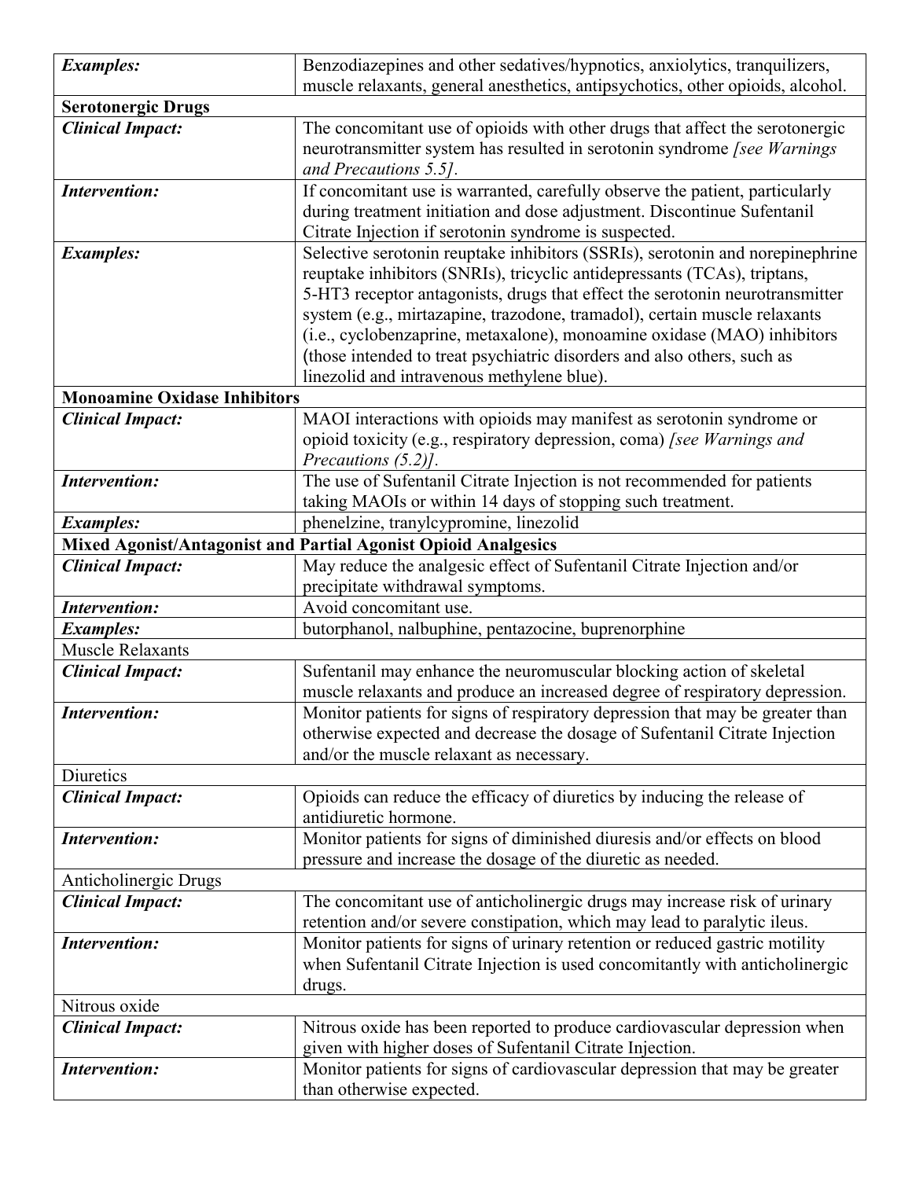| <b>Examples:</b>                    | Benzodiazepines and other sedatives/hypnotics, anxiolytics, tranquilizers,                       |
|-------------------------------------|--------------------------------------------------------------------------------------------------|
|                                     | muscle relaxants, general anesthetics, antipsychotics, other opioids, alcohol.                   |
| <b>Serotonergic Drugs</b>           |                                                                                                  |
| <b>Clinical Impact:</b>             | The concomitant use of opioids with other drugs that affect the serotonergic                     |
|                                     | neurotransmitter system has resulted in serotonin syndrome [see Warnings                         |
|                                     | and Precautions 5.5].                                                                            |
| <b>Intervention:</b>                | If concomitant use is warranted, carefully observe the patient, particularly                     |
|                                     | during treatment initiation and dose adjustment. Discontinue Sufentanil                          |
|                                     | Citrate Injection if serotonin syndrome is suspected.                                            |
| <b>Examples:</b>                    | Selective serotonin reuptake inhibitors (SSRIs), serotonin and norepinephrine                    |
|                                     | reuptake inhibitors (SNRIs), tricyclic antidepressants (TCAs), triptans,                         |
|                                     | 5-HT3 receptor antagonists, drugs that effect the serotonin neurotransmitter                     |
|                                     | system (e.g., mirtazapine, trazodone, tramadol), certain muscle relaxants                        |
|                                     | (i.e., cyclobenzaprine, metaxalone), monoamine oxidase (MAO) inhibitors                          |
|                                     | (those intended to treat psychiatric disorders and also others, such as                          |
|                                     | linezolid and intravenous methylene blue).                                                       |
| <b>Monoamine Oxidase Inhibitors</b> |                                                                                                  |
| <b>Clinical Impact:</b>             | MAOI interactions with opioids may manifest as serotonin syndrome or                             |
|                                     | opioid toxicity (e.g., respiratory depression, coma) [see Warnings and                           |
|                                     | Precautions (5.2)].                                                                              |
| <b>Intervention:</b>                | The use of Sufentanil Citrate Injection is not recommended for patients                          |
|                                     | taking MAOIs or within 14 days of stopping such treatment.                                       |
| <b>Examples:</b>                    | phenelzine, tranylcypromine, linezolid                                                           |
|                                     | Mixed Agonist/Antagonist and Partial Agonist Opioid Analgesics                                   |
| <b>Clinical Impact:</b>             | May reduce the analgesic effect of Sufentanil Citrate Injection and/or                           |
|                                     | precipitate withdrawal symptoms.                                                                 |
| <b>Intervention:</b>                | Avoid concomitant use.                                                                           |
| <b>Examples:</b>                    | butorphanol, nalbuphine, pentazocine, buprenorphine                                              |
| Muscle Relaxants                    |                                                                                                  |
| <b>Clinical Impact:</b>             | Sufentanil may enhance the neuromuscular blocking action of skeletal                             |
|                                     | muscle relaxants and produce an increased degree of respiratory depression.                      |
| <b>Intervention:</b>                | Monitor patients for signs of respiratory depression that may be greater than                    |
|                                     | otherwise expected and decrease the dosage of Sufentanil Citrate Injection                       |
|                                     | and/or the muscle relaxant as necessary.                                                         |
| Diuretics                           |                                                                                                  |
| <b>Clinical Impact:</b>             | Opioids can reduce the efficacy of diuretics by inducing the release of<br>antidiuretic hormone. |
| <b>Intervention:</b>                | Monitor patients for signs of diminished diuresis and/or effects on blood                        |
|                                     | pressure and increase the dosage of the diuretic as needed.                                      |
| Anticholinergic Drugs               |                                                                                                  |
| <b>Clinical Impact:</b>             | The concomitant use of anticholinergic drugs may increase risk of urinary                        |
|                                     | retention and/or severe constipation, which may lead to paralytic ileus.                         |
| <b>Intervention:</b>                | Monitor patients for signs of urinary retention or reduced gastric motility                      |
|                                     | when Sufentanil Citrate Injection is used concomitantly with anticholinergic                     |
|                                     | drugs.                                                                                           |
| Nitrous oxide                       |                                                                                                  |
| <b>Clinical Impact:</b>             | Nitrous oxide has been reported to produce cardiovascular depression when                        |
|                                     | given with higher doses of Sufentanil Citrate Injection.                                         |
| <b>Intervention:</b>                | Monitor patients for signs of cardiovascular depression that may be greater                      |
|                                     | than otherwise expected.                                                                         |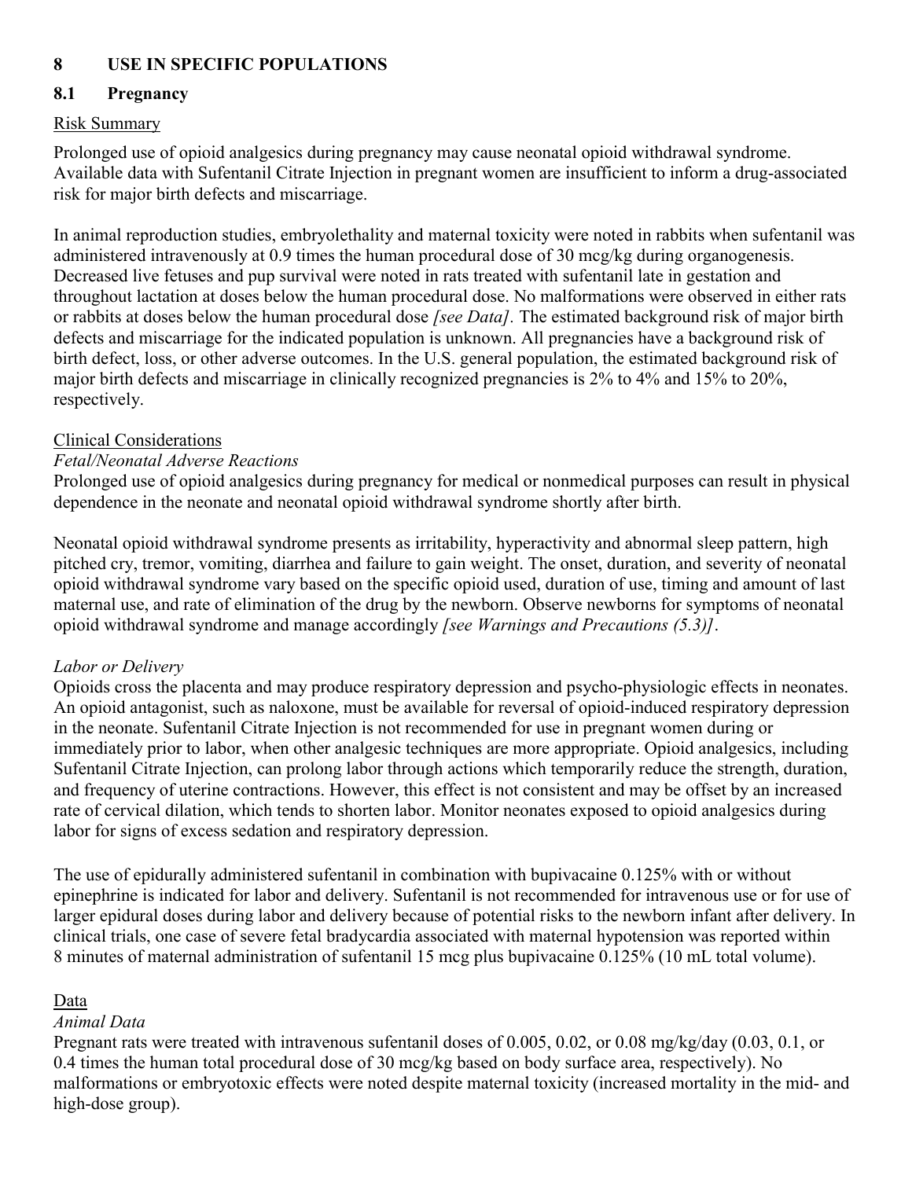## **8 USE IN SPECIFIC POPULATIONS**

## **8.1 Pregnancy**

## Risk Summary

Prolonged use of opioid analgesics during pregnancy may cause neonatal opioid withdrawal syndrome. Available data with Sufentanil Citrate Injection in pregnant women are insufficient to inform a drug-associated risk for major birth defects and miscarriage.

In animal reproduction studies, embryolethality and maternal toxicity were noted in rabbits when sufentanil was administered intravenously at 0.9 times the human procedural dose of 30 mcg/kg during organogenesis. Decreased live fetuses and pup survival were noted in rats treated with sufentanil late in gestation and throughout lactation at doses below the human procedural dose. No malformations were observed in either rats or rabbits at doses below the human procedural dose *[see Data].* The estimated background risk of major birth defects and miscarriage for the indicated population is unknown. All pregnancies have a background risk of birth defect, loss, or other adverse outcomes. In the U.S. general population, the estimated background risk of major birth defects and miscarriage in clinically recognized pregnancies is 2% to 4% and 15% to 20%, respectively.

## Clinical Considerations

## *Fetal/Neonatal Adverse Reactions*

Prolonged use of opioid analgesics during pregnancy for medical or nonmedical purposes can result in physical dependence in the neonate and neonatal opioid withdrawal syndrome shortly after birth.

Neonatal opioid withdrawal syndrome presents as irritability, hyperactivity and abnormal sleep pattern, high pitched cry, tremor, vomiting, diarrhea and failure to gain weight. The onset, duration, and severity of neonatal opioid withdrawal syndrome vary based on the specific opioid used, duration of use, timing and amount of last maternal use, and rate of elimination of the drug by the newborn. Observe newborns for symptoms of neonatal opioid withdrawal syndrome and manage accordingly *[see Warnings and Precautions (5.3)]*.

## *Labor or Delivery*

Opioids cross the placenta and may produce respiratory depression and psycho-physiologic effects in neonates. An opioid antagonist, such as naloxone, must be available for reversal of opioid-induced respiratory depression in the neonate. Sufentanil Citrate Injection is not recommended for use in pregnant women during or immediately prior to labor, when other analgesic techniques are more appropriate. Opioid analgesics, including Sufentanil Citrate Injection, can prolong labor through actions which temporarily reduce the strength, duration, and frequency of uterine contractions. However, this effect is not consistent and may be offset by an increased rate of cervical dilation, which tends to shorten labor. Monitor neonates exposed to opioid analgesics during labor for signs of excess sedation and respiratory depression.

The use of epidurally administered sufentanil in combination with bupivacaine 0.125% with or without epinephrine is indicated for labor and delivery. Sufentanil is not recommended for intravenous use or for use of larger epidural doses during labor and delivery because of potential risks to the newborn infant after delivery. In clinical trials, one case of severe fetal bradycardia associated with maternal hypotension was reported within 8 minutes of maternal administration of sufentanil 15 mcg plus bupivacaine 0.125% (10 mL total volume).

## Data

## *Animal Data*

Pregnant rats were treated with intravenous sufentanil doses of 0.005, 0.02, or 0.08 mg/kg/day (0.03, 0.1, or 0.4 times the human total procedural dose of 30 mcg/kg based on body surface area, respectively). No malformations or embryotoxic effects were noted despite maternal toxicity (increased mortality in the mid- and high-dose group).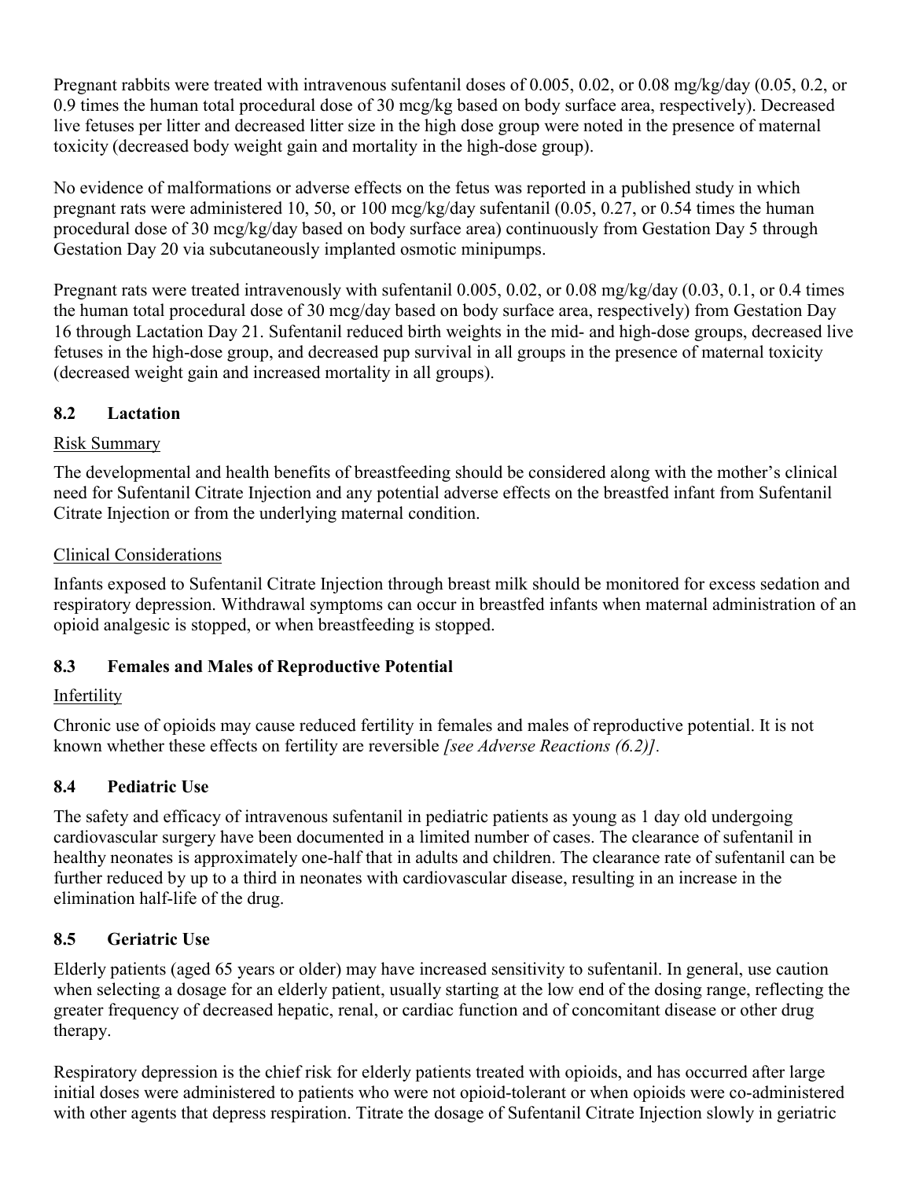Pregnant rabbits were treated with intravenous sufentanil doses of 0.005, 0.02, or 0.08 mg/kg/day (0.05, 0.2, or 0.9 times the human total procedural dose of 30 mcg/kg based on body surface area, respectively). Decreased live fetuses per litter and decreased litter size in the high dose group were noted in the presence of maternal toxicity (decreased body weight gain and mortality in the high-dose group).

No evidence of malformations or adverse effects on the fetus was reported in a published study in which pregnant rats were administered 10, 50, or 100 mcg/kg/day sufentanil (0.05, 0.27, or 0.54 times the human procedural dose of 30 mcg/kg/day based on body surface area) continuously from Gestation Day 5 through Gestation Day 20 via subcutaneously implanted osmotic minipumps.

Pregnant rats were treated intravenously with sufentanil 0.005, 0.02, or 0.08 mg/kg/day (0.03, 0.1, or 0.4 times the human total procedural dose of 30 mcg/day based on body surface area, respectively) from Gestation Day 16 through Lactation Day 21. Sufentanil reduced birth weights in the mid- and high-dose groups, decreased live fetuses in the high-dose group, and decreased pup survival in all groups in the presence of maternal toxicity (decreased weight gain and increased mortality in all groups).

## **8.2 Lactation**

## Risk Summary

The developmental and health benefits of breastfeeding should be considered along with the mother's clinical need for Sufentanil Citrate Injection and any potential adverse effects on the breastfed infant from Sufentanil Citrate Injection or from the underlying maternal condition.

## Clinical Considerations

Infants exposed to Sufentanil Citrate Injection through breast milk should be monitored for excess sedation and respiratory depression. Withdrawal symptoms can occur in breastfed infants when maternal administration of an opioid analgesic is stopped, or when breastfeeding is stopped.

## **8.3 Females and Males of Reproductive Potential**

## Infertility

Chronic use of opioids may cause reduced fertility in females and males of reproductive potential. It is not known whether these effects on fertility are reversible *[see Adverse Reactions (6.2)].*

## **8.4 Pediatric Use**

The safety and efficacy of intravenous sufentanil in pediatric patients as young as 1 day old undergoing cardiovascular surgery have been documented in a limited number of cases. The clearance of sufentanil in healthy neonates is approximately one-half that in adults and children. The clearance rate of sufentanil can be further reduced by up to a third in neonates with cardiovascular disease, resulting in an increase in the elimination half-life of the drug.

## **8.5 Geriatric Use**

Elderly patients (aged 65 years or older) may have increased sensitivity to sufentanil. In general, use caution when selecting a dosage for an elderly patient, usually starting at the low end of the dosing range, reflecting the greater frequency of decreased hepatic, renal, or cardiac function and of concomitant disease or other drug therapy.

Respiratory depression is the chief risk for elderly patients treated with opioids, and has occurred after large initial doses were administered to patients who were not opioid-tolerant or when opioids were co-administered with other agents that depress respiration. Titrate the dosage of Sufentanil Citrate Injection slowly in geriatric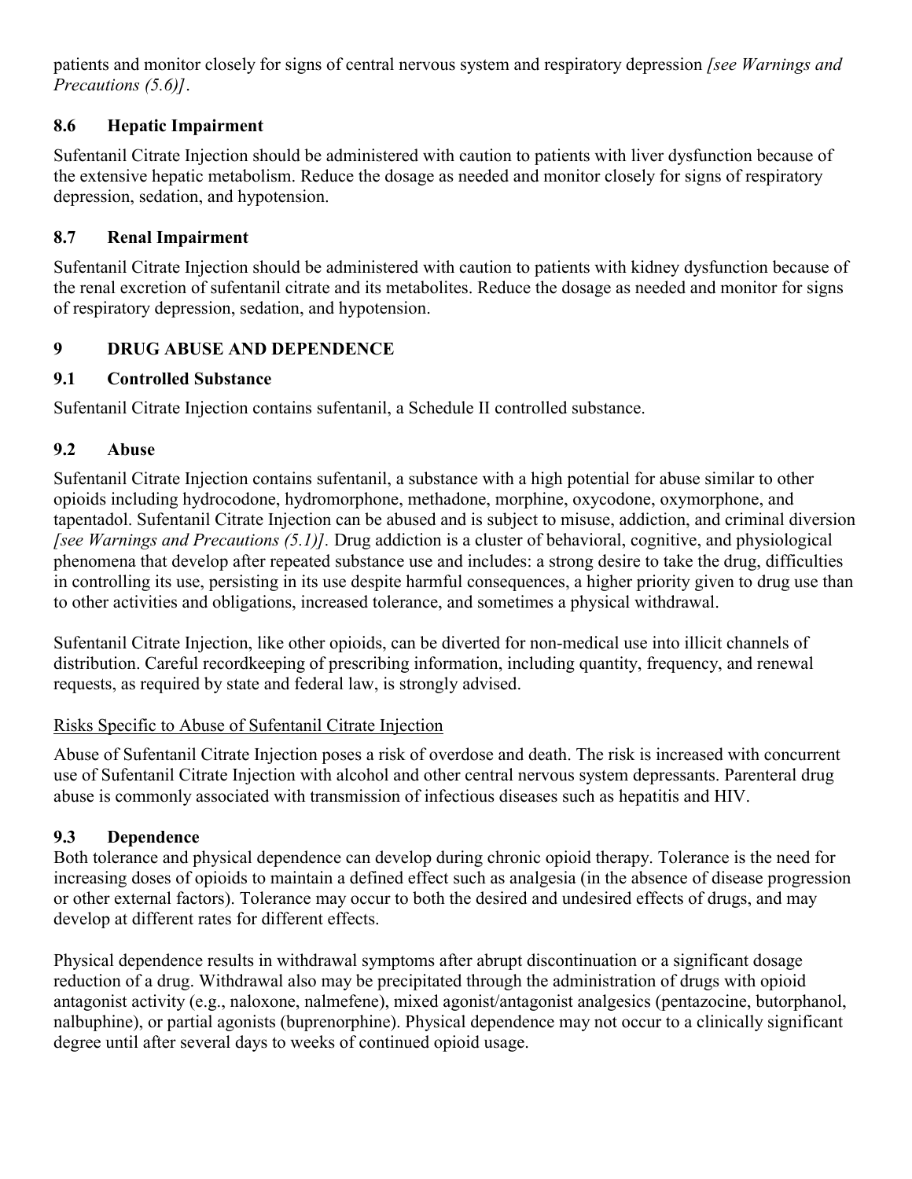patients and monitor closely for signs of central nervous system and respiratory depression *[see Warnings and Precautions (5.6)]*.

## **8.6 Hepatic Impairment**

Sufentanil Citrate Injection should be administered with caution to patients with liver dysfunction because of the extensive hepatic metabolism. Reduce the dosage as needed and monitor closely for signs of respiratory depression, sedation, and hypotension.

## **8.7 Renal Impairment**

Sufentanil Citrate Injection should be administered with caution to patients with kidney dysfunction because of the renal excretion of sufentanil citrate and its metabolites. Reduce the dosage as needed and monitor for signs of respiratory depression, sedation, and hypotension.

## **9 DRUG ABUSE AND DEPENDENCE**

## **9.1 Controlled Substance**

Sufentanil Citrate Injection contains sufentanil, a Schedule II controlled substance.

## **9.2 Abuse**

Sufentanil Citrate Injection contains sufentanil, a substance with a high potential for abuse similar to other opioids including hydrocodone, hydromorphone, methadone, morphine, oxycodone, oxymorphone, and tapentadol. Sufentanil Citrate Injection can be abused and is subject to misuse, addiction, and criminal diversion *[see Warnings and Precautions (5.1)].* Drug addiction is a cluster of behavioral, cognitive, and physiological phenomena that develop after repeated substance use and includes: a strong desire to take the drug, difficulties in controlling its use, persisting in its use despite harmful consequences, a higher priority given to drug use than to other activities and obligations, increased tolerance, and sometimes a physical withdrawal.

Sufentanil Citrate Injection, like other opioids, can be diverted for non-medical use into illicit channels of distribution. Careful recordkeeping of prescribing information, including quantity, frequency, and renewal requests, as required by state and federal law, is strongly advised.

## Risks Specific to Abuse of Sufentanil Citrate Injection

Abuse of Sufentanil Citrate Injection poses a risk of overdose and death. The risk is increased with concurrent use of Sufentanil Citrate Injection with alcohol and other central nervous system depressants. Parenteral drug abuse is commonly associated with transmission of infectious diseases such as hepatitis and HIV.

## **9.3 Dependence**

Both tolerance and physical dependence can develop during chronic opioid therapy. Tolerance is the need for increasing doses of opioids to maintain a defined effect such as analgesia (in the absence of disease progression or other external factors). Tolerance may occur to both the desired and undesired effects of drugs, and may develop at different rates for different effects.

Physical dependence results in withdrawal symptoms after abrupt discontinuation or a significant dosage reduction of a drug. Withdrawal also may be precipitated through the administration of drugs with opioid antagonist activity (e.g., naloxone, nalmefene), mixed agonist/antagonist analgesics (pentazocine, butorphanol, nalbuphine), or partial agonists (buprenorphine). Physical dependence may not occur to a clinically significant degree until after several days to weeks of continued opioid usage.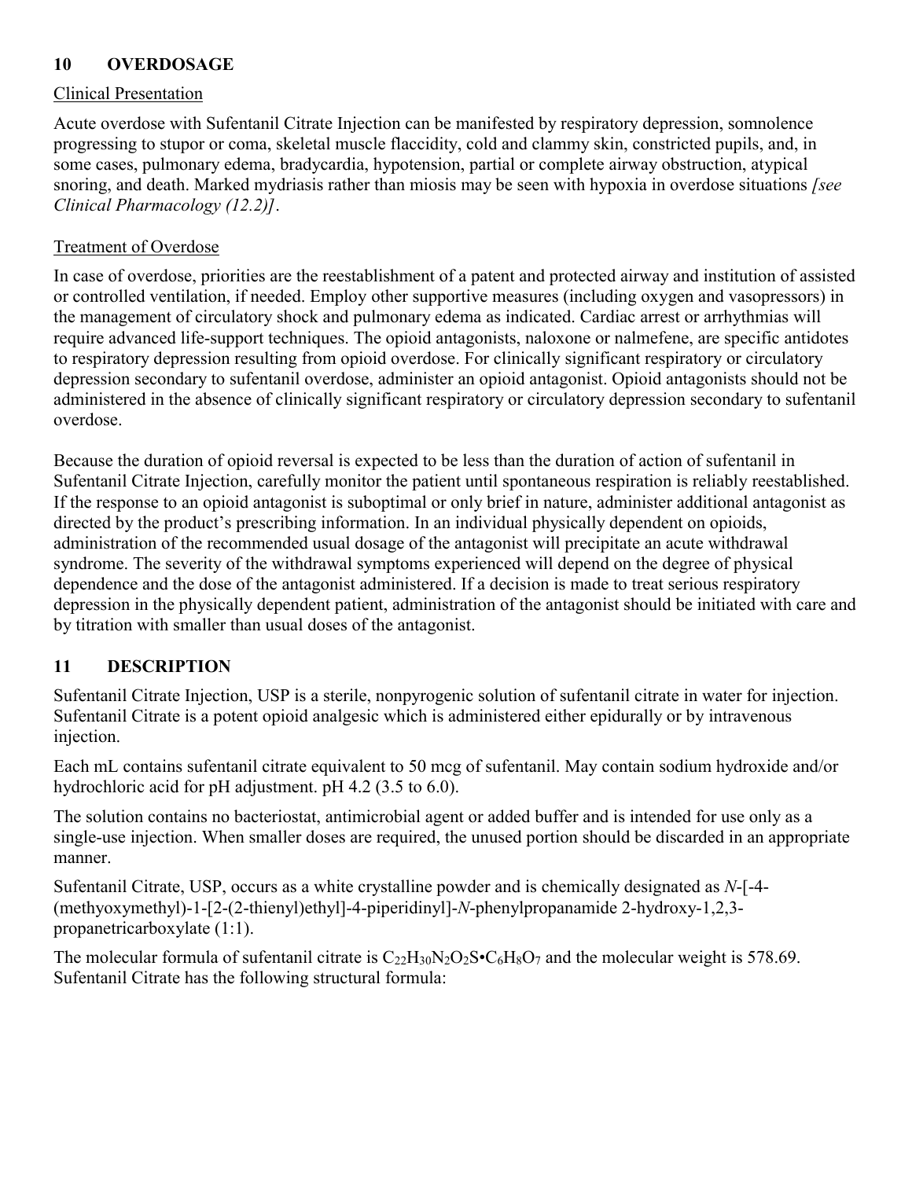## **10 OVERDOSAGE**

## Clinical Presentation

Acute overdose with Sufentanil Citrate Injection can be manifested by respiratory depression, somnolence progressing to stupor or coma, skeletal muscle flaccidity, cold and clammy skin, constricted pupils, and, in some cases, pulmonary edema, bradycardia, hypotension, partial or complete airway obstruction, atypical snoring, and death. Marked mydriasis rather than miosis may be seen with hypoxia in overdose situations *[see Clinical Pharmacology (12.2)]*.

## Treatment of Overdose

In case of overdose, priorities are the reestablishment of a patent and protected airway and institution of assisted or controlled ventilation, if needed. Employ other supportive measures (including oxygen and vasopressors) in the management of circulatory shock and pulmonary edema as indicated. Cardiac arrest or arrhythmias will require advanced life-support techniques. The opioid antagonists, naloxone or nalmefene, are specific antidotes to respiratory depression resulting from opioid overdose. For clinically significant respiratory or circulatory depression secondary to sufentanil overdose, administer an opioid antagonist. Opioid antagonists should not be administered in the absence of clinically significant respiratory or circulatory depression secondary to sufentanil overdose.

Because the duration of opioid reversal is expected to be less than the duration of action of sufentanil in Sufentanil Citrate Injection, carefully monitor the patient until spontaneous respiration is reliably reestablished. If the response to an opioid antagonist is suboptimal or only brief in nature, administer additional antagonist as directed by the product's prescribing information. In an individual physically dependent on opioids, administration of the recommended usual dosage of the antagonist will precipitate an acute withdrawal syndrome. The severity of the withdrawal symptoms experienced will depend on the degree of physical dependence and the dose of the antagonist administered. If a decision is made to treat serious respiratory depression in the physically dependent patient, administration of the antagonist should be initiated with care and by titration with smaller than usual doses of the antagonist.

## **11 DESCRIPTION**

Sufentanil Citrate Injection, USP is a sterile, nonpyrogenic solution of sufentanil citrate in water for injection. Sufentanil Citrate is a potent opioid analgesic which is administered either epidurally or by intravenous injection.

Each mL contains sufentanil citrate equivalent to 50 mcg of sufentanil. May contain sodium hydroxide and/or hydrochloric acid for pH adjustment. pH 4.2 (3.5 to 6.0).

The solution contains no bacteriostat, antimicrobial agent or added buffer and is intended for use only as a single-use injection. When smaller doses are required, the unused portion should be discarded in an appropriate manner.

Sufentanil Citrate, USP, occurs as a white crystalline powder and is chemically designated as *N*-[-4- (methyoxymethyl)-1-[2-(2-thienyl)ethyl]-4-piperidinyl]-*N*-phenylpropanamide 2-hydroxy-1,2,3 propanetricarboxylate (1:1).

The molecular formula of sufentanil citrate is  $C_{22}H_{30}N_2O_2S\bullet C_6H_8O_7$  and the molecular weight is 578.69. Sufentanil Citrate has the following structural formula: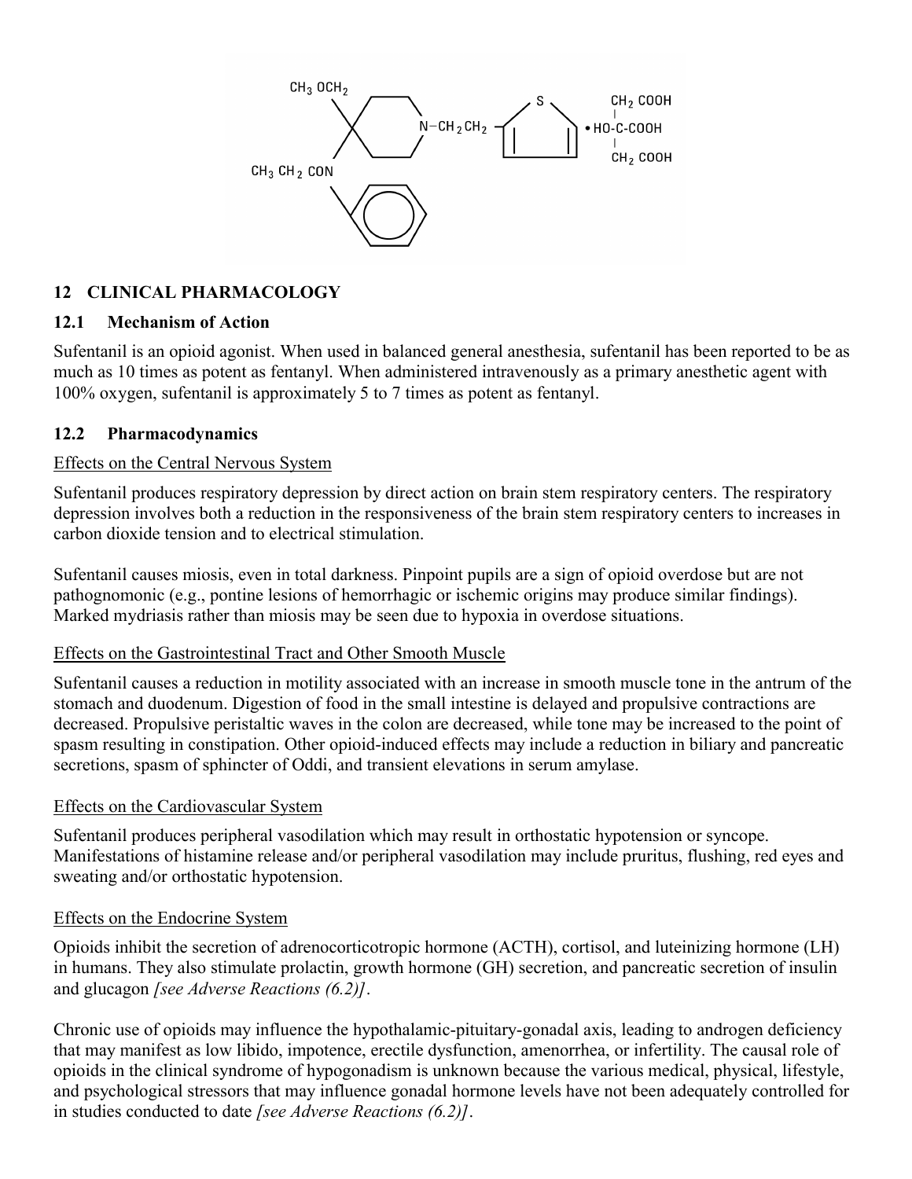

## **12 CLINICAL PHARMACOLOGY**

## **12.1 Mechanism of Action**

Sufentanil is an opioid agonist. When used in balanced general anesthesia, sufentanil has been reported to be as much as 10 times as potent as fentanyl. When administered intravenously as a primary anesthetic agent with 100% oxygen, sufentanil is approximately 5 to 7 times as potent as fentanyl.

## **12.2 Pharmacodynamics**

## Effects on the Central Nervous System

Sufentanil produces respiratory depression by direct action on brain stem respiratory centers. The respiratory depression involves both a reduction in the responsiveness of the brain stem respiratory centers to increases in carbon dioxide tension and to electrical stimulation.

Sufentanil causes miosis, even in total darkness. Pinpoint pupils are a sign of opioid overdose but are not pathognomonic (e.g., pontine lesions of hemorrhagic or ischemic origins may produce similar findings). Marked mydriasis rather than miosis may be seen due to hypoxia in overdose situations.

## Effects on the Gastrointestinal Tract and Other Smooth Muscle

Sufentanil causes a reduction in motility associated with an increase in smooth muscle tone in the antrum of the stomach and duodenum. Digestion of food in the small intestine is delayed and propulsive contractions are decreased. Propulsive peristaltic waves in the colon are decreased, while tone may be increased to the point of spasm resulting in constipation. Other opioid-induced effects may include a reduction in biliary and pancreatic secretions, spasm of sphincter of Oddi, and transient elevations in serum amylase.

## Effects on the Cardiovascular System

Sufentanil produces peripheral vasodilation which may result in orthostatic hypotension or syncope. Manifestations of histamine release and/or peripheral vasodilation may include pruritus, flushing, red eyes and sweating and/or orthostatic hypotension.

## Effects on the Endocrine System

Opioids inhibit the secretion of adrenocorticotropic hormone (ACTH), cortisol, and luteinizing hormone (LH) in humans. They also stimulate prolactin, growth hormone (GH) secretion, and pancreatic secretion of insulin and glucagon *[see Adverse Reactions (6.2)]*.

Chronic use of opioids may influence the hypothalamic-pituitary-gonadal axis, leading to androgen deficiency that may manifest as low libido, impotence, erectile dysfunction, amenorrhea, or infertility. The causal role of opioids in the clinical syndrome of hypogonadism is unknown because the various medical, physical, lifestyle, and psychological stressors that may influence gonadal hormone levels have not been adequately controlled for in studies conducted to date *[see Adverse Reactions (6.2)]*.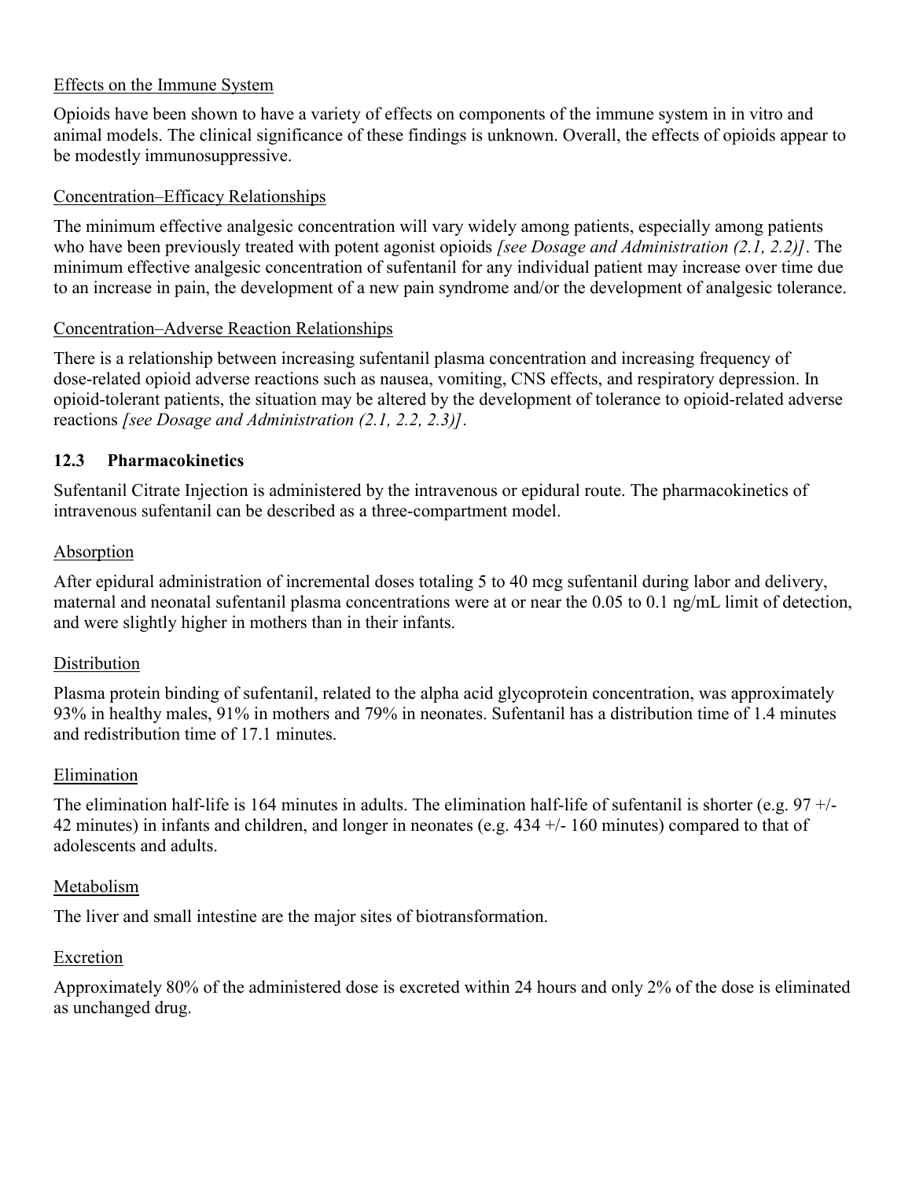#### Effects on the Immune System

Opioids have been shown to have a variety of effects on components of the immune system in in vitro and animal models. The clinical significance of these findings is unknown. Overall, the effects of opioids appear to be modestly immunosuppressive.

#### Concentration–Efficacy Relationships

The minimum effective analgesic concentration will vary widely among patients, especially among patients who have been previously treated with potent agonist opioids *[see Dosage and Administration (2.1, 2.2)]*. The minimum effective analgesic concentration of sufentanil for any individual patient may increase over time due to an increase in pain, the development of a new pain syndrome and/or the development of analgesic tolerance.

#### Concentration–Adverse Reaction Relationships

There is a relationship between increasing sufentanil plasma concentration and increasing frequency of dose-related opioid adverse reactions such as nausea, vomiting, CNS effects, and respiratory depression. In opioid-tolerant patients, the situation may be altered by the development of tolerance to opioid-related adverse reactions *[see Dosage and Administration (2.1, 2.2, 2.3)]*.

#### **12.3 Pharmacokinetics**

Sufentanil Citrate Injection is administered by the intravenous or epidural route. The pharmacokinetics of intravenous sufentanil can be described as a three-compartment model.

#### Absorption

After epidural administration of incremental doses totaling 5 to 40 mcg sufentanil during labor and delivery, maternal and neonatal sufentanil plasma concentrations were at or near the 0.05 to 0.1 ng/mL limit of detection, and were slightly higher in mothers than in their infants.

#### Distribution

Plasma protein binding of sufentanil, related to the alpha acid glycoprotein concentration, was approximately 93% in healthy males, 91% in mothers and 79% in neonates. Sufentanil has a distribution time of 1.4 minutes and redistribution time of 17.1 minutes.

#### Elimination

The elimination half-life is 164 minutes in adults. The elimination half-life of sufentanil is shorter (e.g.  $97 +/-$ 42 minutes) in infants and children, and longer in neonates (e.g. 434 +/- 160 minutes) compared to that of adolescents and adults.

#### Metabolism

The liver and small intestine are the major sites of biotransformation.

#### Excretion

Approximately 80% of the administered dose is excreted within 24 hours and only 2% of the dose is eliminated as unchanged drug.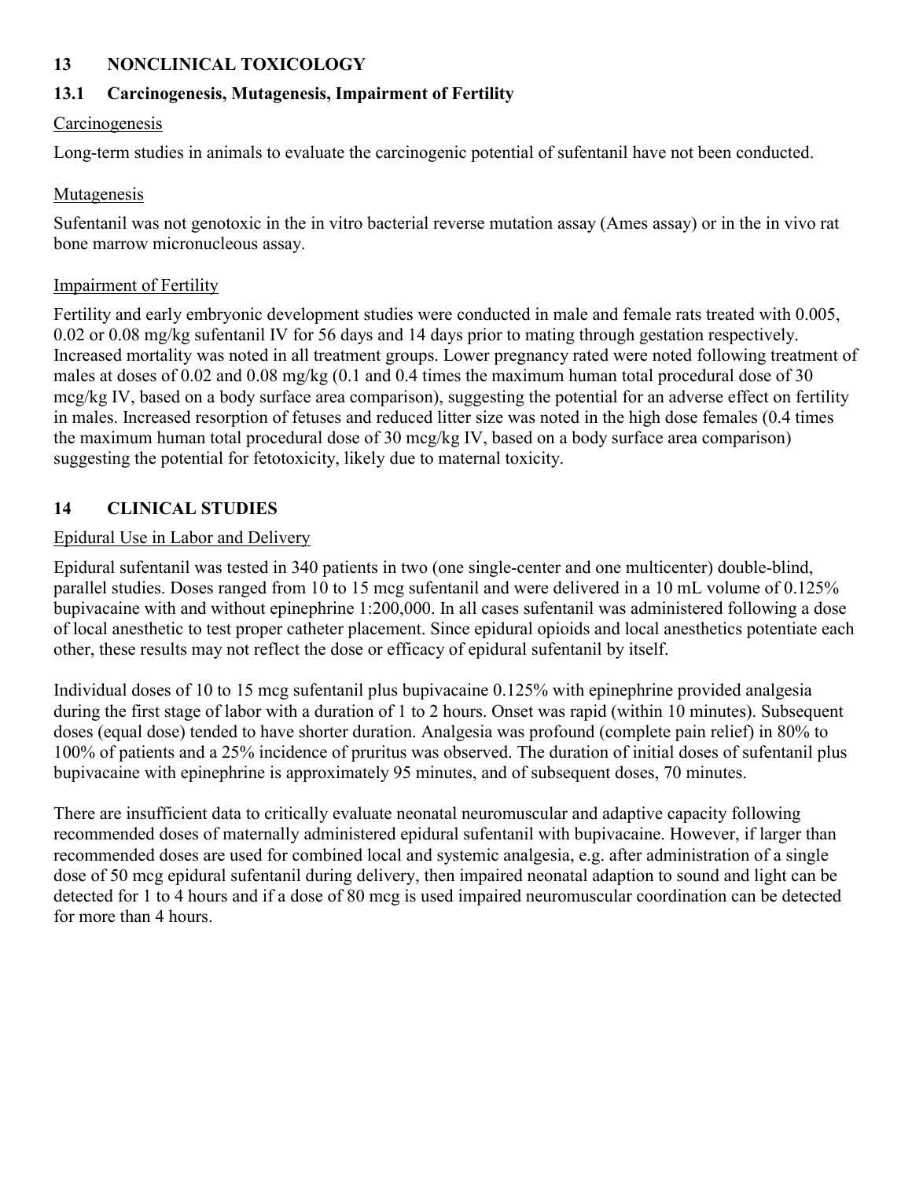## **13 NONCLINICAL TOXICOLOGY**

## **13.1 Carcinogenesis, Mutagenesis, Impairment of Fertility**

#### Carcinogenesis

Long-term studies in animals to evaluate the carcinogenic potential of sufentanil have not been conducted.

## Mutagenesis

Sufentanil was not genotoxic in the in vitro bacterial reverse mutation assay (Ames assay) or in the in vivo rat bone marrow micronucleous assay.

#### Impairment of Fertility

Fertility and early embryonic development studies were conducted in male and female rats treated with 0.005, 0.02 or 0.08 mg/kg sufentanil IV for 56 days and 14 days prior to mating through gestation respectively. Increased mortality was noted in all treatment groups. Lower pregnancy rated were noted following treatment of males at doses of 0.02 and 0.08 mg/kg (0.1 and 0.4 times the maximum human total procedural dose of 30 mcg/kg IV, based on a body surface area comparison), suggesting the potential for an adverse effect on fertility in males. Increased resorption of fetuses and reduced litter size was noted in the high dose females (0.4 times the maximum human total procedural dose of 30 mcg/kg IV, based on a body surface area comparison) suggesting the potential for fetotoxicity, likely due to maternal toxicity.

## **14 CLINICAL STUDIES**

#### Epidural Use in Labor and Delivery

Epidural sufentanil was tested in 340 patients in two (one single-center and one multicenter) double-blind, parallel studies. Doses ranged from 10 to 15 mcg sufentanil and were delivered in a 10 mL volume of 0.125% bupivacaine with and without epinephrine 1:200,000. In all cases sufentanil was administered following a dose of local anesthetic to test proper catheter placement. Since epidural opioids and local anesthetics potentiate each other, these results may not reflect the dose or efficacy of epidural sufentanil by itself.

Individual doses of 10 to 15 mcg sufentanil plus bupivacaine 0.125% with epinephrine provided analgesia during the first stage of labor with a duration of 1 to 2 hours. Onset was rapid (within 10 minutes). Subsequent doses (equal dose) tended to have shorter duration. Analgesia was profound (complete pain relief) in 80% to 100% of patients and a 25% incidence of pruritus was observed. The duration of initial doses of sufentanil plus bupivacaine with epinephrine is approximately 95 minutes, and of subsequent doses, 70 minutes.

There are insufficient data to critically evaluate neonatal neuromuscular and adaptive capacity following recommended doses of maternally administered epidural sufentanil with bupivacaine. However, if larger than recommended doses are used for combined local and systemic analgesia, e.g. after administration of a single dose of 50 mcg epidural sufentanil during delivery, then impaired neonatal adaption to sound and light can be detected for 1 to 4 hours and if a dose of 80 mcg is used impaired neuromuscular coordination can be detected for more than 4 hours.